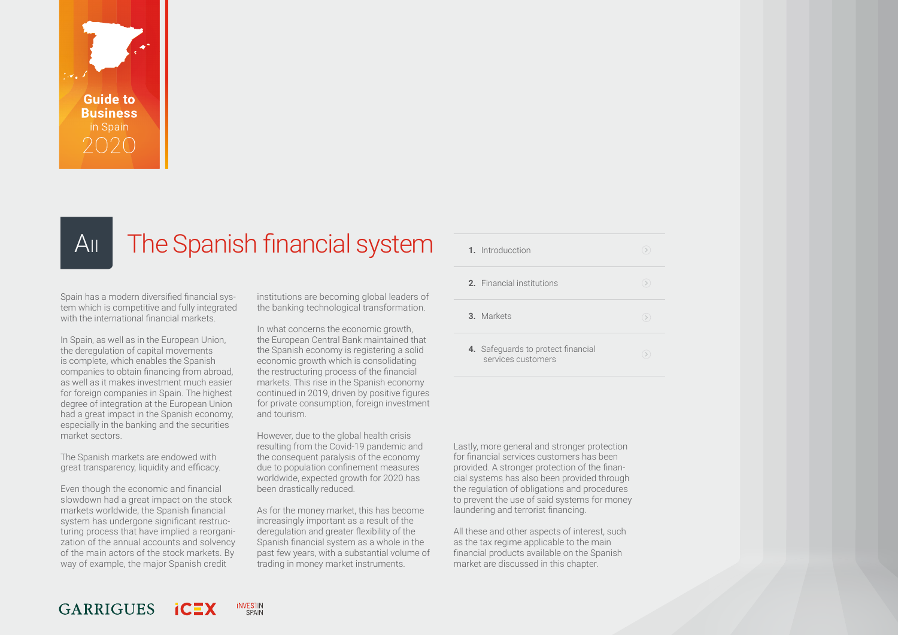<span id="page-0-0"></span>

## A<sub>II</sub> The Spanish financial system

Spain has a modern diversified financial system which is competitive and fully integrated with the international financial markets.

In Spain, as well as in the European Union, the deregulation of capital movements is complete, which enables the Spanish companies to obtain financing from abroad, as well as it makes investment much easier for foreign companies in Spain. The highest degree of integration at the European Union had a great impact in the Spanish economy, especially in the banking and the securities market sectors.

The Spanish markets are endowed with great transparency, liquidity and efficacy.

Even though the economic and financial slowdown had a great impact on the stock markets worldwide, the Spanish financial system has undergone significant restructuring process that have implied a reorganization of the annual accounts and solvency of the main actors of the stock markets. By way of example, the major Spanish credit

institutions are becoming global leaders of the banking technological transformation.

In what concerns the economic growth, the European Central Bank maintained that the Spanish economy is registering a solid economic growth which is consolidating the restructuring process of the financial markets. This rise in the Spanish economy continued in 2019, driven by positive figures for private consumption, foreign investment and tourism.

However, due to the global health crisis resulting from the Covid-19 pandemic and the consequent paralysis of the economy due to population confinement measures worldwide, expected growth for 2020 has been drastically reduced.

As for the money market, this has become increasingly important as a result of the deregulation and greater flexibility of the Spanish financial system as a whole in the past few years, with a substantial volume of trading in money market instruments.

| 1. Introducction                                         |  |
|----------------------------------------------------------|--|
| <b>2.</b> Financial institutions                         |  |
| 3. Markets                                               |  |
| 4. Safeguards to protect financial<br>services customers |  |

Lastly, more general and stronger protection for financial services customers has been provided. A stronger protection of the financial systems has also been provided through the regulation of obligations and procedures to prevent the use of said systems for money laundering and terrorist financing.

All these and other aspects of interest, such as the tax regime applicable to the main financial products available on the Spanish market are discussed in this chapter.

#### **GARRIGUES INVESTIN** SPAIN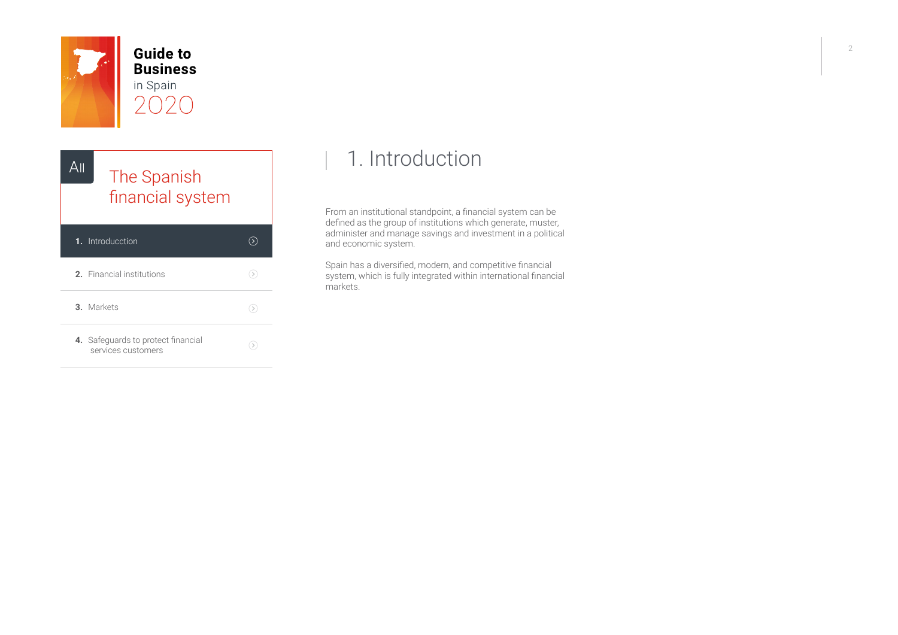<span id="page-1-0"></span>

**Guide to Business** in Spain  $\bigcap$ 



**4.** [Safeguards to protect financial](#page-34-0) services customers

 $\odot$ 

## 1. Introduction

From an institutional standpoint, a financial system can be defined as the group of institutions which generate, muster, administer and manage savings and investment in a political and economic system.

Spain has a diversified, modern, and competitive financial system, which is fully integrated within international financial markets.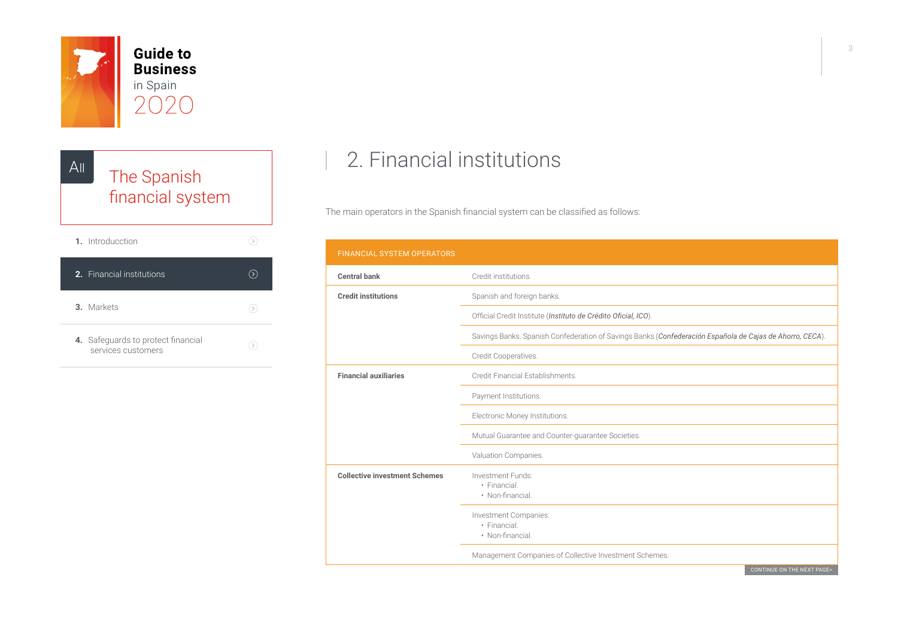<span id="page-2-0"></span>





## 2. Financial institutions

The main operators in the Spanish financial system can be classified as follows:

| <b>FINANCIAL SYSTEM OPERATORS</b>    |                                                                                                          |
|--------------------------------------|----------------------------------------------------------------------------------------------------------|
| <b>Central bank</b>                  | Credit institutions.                                                                                     |
| <b>Credit institutions</b>           | Spanish and foreign banks.                                                                               |
|                                      | Official Credit Institute (Instituto de Crédito Oficial, ICO).                                           |
|                                      | Savings Banks. Spanish Confederation of Savings Banks (Confederación Española de Cajas de Ahorro, CECA). |
|                                      | Credit Cooperatives.                                                                                     |
| <b>Financial auxiliaries</b>         | Credit Financial Establishments.                                                                         |
|                                      | Payment Institutions.                                                                                    |
|                                      | Electronic Money Institutions.                                                                           |
|                                      | Mutual Guarantee and Counter-guarantee Societies.                                                        |
|                                      | Valuation Companies.                                                                                     |
| <b>Collective investment Schemes</b> | Investment Funds:                                                                                        |
|                                      | · Financial.<br>• Non-financial.                                                                         |
|                                      | Investment Companies:                                                                                    |
|                                      | · Financial.<br>• Non-financial.                                                                         |
|                                      | Management Companies of Collective Investment Schemes.                                                   |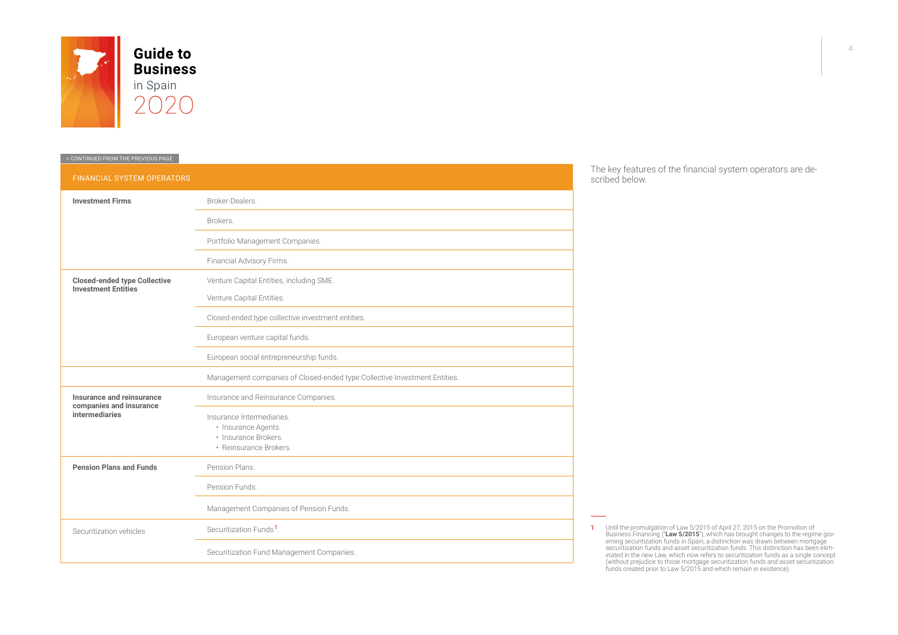

| <b>FINANCIAL SYSTEM OPERATORS</b>                                 |                                                                           |  |  |  |  |
|-------------------------------------------------------------------|---------------------------------------------------------------------------|--|--|--|--|
| <b>Investment Firms</b>                                           | Broker-Dealers.                                                           |  |  |  |  |
|                                                                   | Brokers.                                                                  |  |  |  |  |
|                                                                   | Portfolio Management Companies.                                           |  |  |  |  |
|                                                                   | Financial Advisory Firms.                                                 |  |  |  |  |
| <b>Closed-ended type Collective</b><br><b>Investment Entities</b> | Venture Capital Entities, including SME.                                  |  |  |  |  |
|                                                                   | Venture Capital Entities.                                                 |  |  |  |  |
|                                                                   | Closed-ended type collective investment entities.                         |  |  |  |  |
|                                                                   | European venture capital funds.                                           |  |  |  |  |
|                                                                   | European social entrepreneurship funds.                                   |  |  |  |  |
|                                                                   | Management companies of Closed-ended type Collective Investment Entities. |  |  |  |  |
| Insurance and reinsurance<br>companies and insurance              | Insurance and Reinsurance Companies.                                      |  |  |  |  |
| intermediaries                                                    | Insurance Intermediaries.                                                 |  |  |  |  |
|                                                                   | · Insurance Agents.<br>· Insurance Brokers.                               |  |  |  |  |
|                                                                   | · Reinsurance Brokers.                                                    |  |  |  |  |
| <b>Pension Plans and Funds</b>                                    | Pension Plans.                                                            |  |  |  |  |
|                                                                   | Pension Funds.                                                            |  |  |  |  |
|                                                                   | Management Companies of Pension Funds.                                    |  |  |  |  |
| Securitization vehicles                                           | Securitization Funds <sup>1</sup> .                                       |  |  |  |  |
|                                                                   | Securitization Fund Management Companies.                                 |  |  |  |  |

The key features of the financial system operators are described below.

1 Until the promulgation of Law 5/2015 of April 27, 2015 on the Promotion of<br>Business Financing ("Law 5/2015"), which has brought changes to the regime gov-<br>erning securitization funds in Spain, a distinction was drawn bet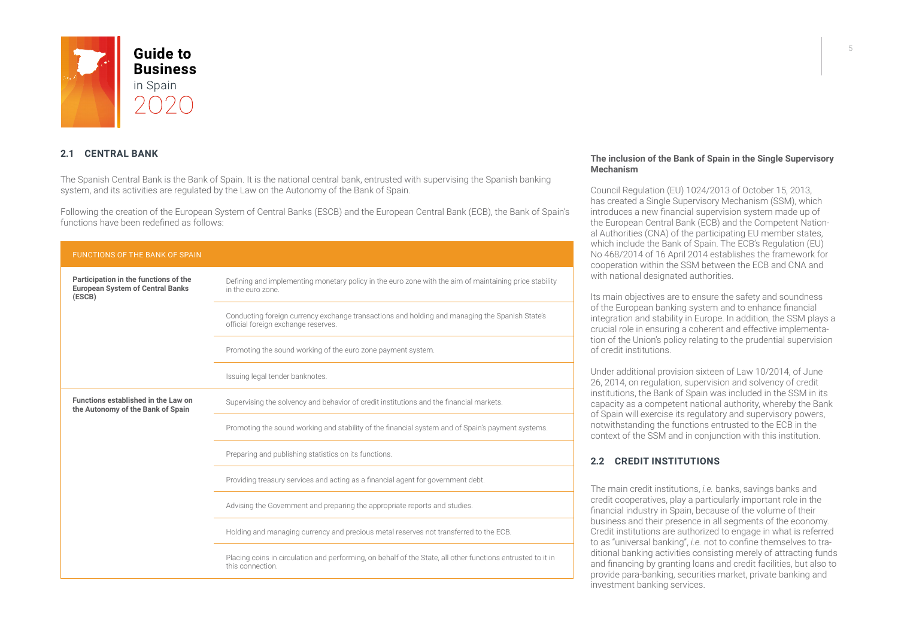

#### **2.1 CENTRAL BANK**

The Spanish Central Bank is the Bank of Spain. It is the national central bank, entrusted with supervising the Spanish banking system, and its activities are regulated by the Law on the Autonomy of the Bank of Spain.

Following the creation of the European System of Central Banks (ESCB) and the European Central Bank (ECB), the Bank of Spain's functions have been redefined as follows:

| <b>FUNCTIONS OF THE BANK OF SPAIN</b>                                                      |                                                                                                                                       |  |  |
|--------------------------------------------------------------------------------------------|---------------------------------------------------------------------------------------------------------------------------------------|--|--|
| Participation in the functions of the<br><b>European System of Central Banks</b><br>(ESCB) | Defining and implementing monetary policy in the euro zone with the aim of maintaining price stability<br>in the euro zone.           |  |  |
|                                                                                            | Conducting foreign currency exchange transactions and holding and managing the Spanish State's<br>official foreign exchange reserves. |  |  |
|                                                                                            | Promoting the sound working of the euro zone payment system.                                                                          |  |  |
|                                                                                            | Issuing legal tender banknotes.                                                                                                       |  |  |
| Functions established in the Law on<br>the Autonomy of the Bank of Spain                   | Supervising the solvency and behavior of credit institutions and the financial markets.                                               |  |  |
|                                                                                            | Promoting the sound working and stability of the financial system and of Spain's payment systems.                                     |  |  |
|                                                                                            | Preparing and publishing statistics on its functions.                                                                                 |  |  |
|                                                                                            | Providing treasury services and acting as a financial agent for government debt.                                                      |  |  |
|                                                                                            | Advising the Government and preparing the appropriate reports and studies.                                                            |  |  |
|                                                                                            | Holding and managing currency and precious metal reserves not transferred to the ECB.                                                 |  |  |
|                                                                                            | Placing coins in circulation and performing, on behalf of the State, all other functions entrusted to it in<br>this connection.       |  |  |

#### **The inclusion of the Bank of Spain in the Single Supervisory Mechanism**

Council Regulation (EU) 1024/2013 of October 15, 2013, has created a Single Supervisory Mechanism (SSM), which introduces a new financial supervision system made up of the European Central Bank (ECB) and the Competent National Authorities (CNA) of the participating EU member states, which include the Bank of Spain. The ECB's Regulation (EU) No 468/2014 of 16 April 2014 establishes the framework for cooperation within the SSM between the ECB and CNA and with national designated authorities.

Its main objectives are to ensure the safety and soundness of the European banking system and to enhance financial integration and stability in Europe. In addition, the SSM plays a crucial role in ensuring a coherent and effective implementation of the Union's policy relating to the prudential supervision of credit institutions.

Under additional provision sixteen of Law 10/2014, of June 26, 2014, on regulation, supervision and solvency of credit institutions, the Bank of Spain was included in the SSM in its capacity as a competent national authority, whereby the Bank of Spain will exercise its regulatory and supervisory powers, notwithstanding the functions entrusted to the ECB in the context of the SSM and in conjunction with this institution.

#### **2.2 CREDIT INSTITUTIONS**

The main credit institutions, *i.e.* banks, savings banks and credit cooperatives, play a particularly important role in the financial industry in Spain, because of the volume of their business and their presence in all segments of the economy. Credit institutions are authorized to engage in what is referred to as "universal banking", *i.e.* not to confine themselves to traditional banking activities consisting merely of attracting funds and financing by granting loans and credit facilities, but also to provide para-banking, securities market, private banking and investment banking services.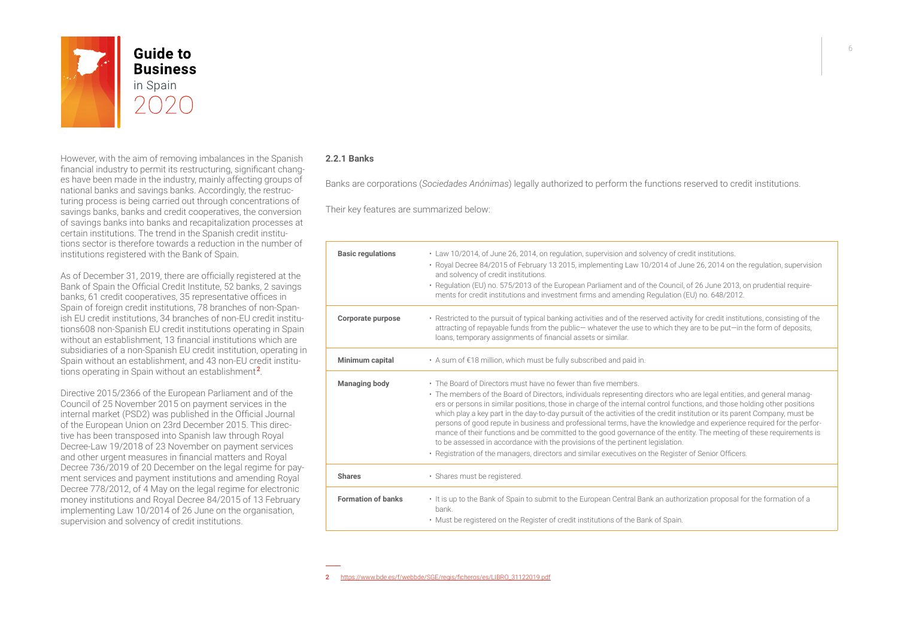

**Business** 

However, with the aim of removing imbalances in the Spanish financial industry to permit its restructuring, significant changes have been made in the industry, mainly affecting groups of national banks and savings banks. Accordingly, the restructuring process is being carried out through concentrations of savings banks, banks and credit cooperatives, the conversion of savings banks into banks and recapitalization processes at certain institutions. The trend in the Spanish credit institutions sector is therefore towards a reduction in the number of institutions registered with the Bank of Spain.

As of December 31, 2019, there are officially registered at the Bank of Spain the Official Credit Institute, 52 banks, 2 savings banks, 61 credit cooperatives, 35 representative offices in Spain of foreign credit institutions, 78 branches of non-Spanish EU credit institutions, 34 branches of non-EU credit institutions608 non-Spanish EU credit institutions operating in Spain without an establishment, 13 financial institutions which are subsidiaries of a non-Spanish EU credit institution, operating in Spain without an establishment, and 43 non-EU credit institutions operating in Spain without an establishment<sup>2</sup>.

Directive 2015/2366 of the European Parliament and of the Council of 25 November 2015 on payment services in the internal market (PSD2) was published in the Official Journal of the European Union on 23rd December 2015. This directive has been transposed into Spanish law through Royal Decree-Law 19/2018 of 23 November on payment services and other urgent measures in financial matters and Royal Decree 736/2019 of 20 December on the legal regime for payment services and payment institutions and amending Royal Decree 778/2012, of 4 May on the legal regime for electronic money institutions and Royal Decree 84/2015 of 13 February implementing Law 10/2014 of 26 June on the organisation, supervision and solvency of credit institutions.

#### **2.2.1 Banks**

Banks are corporations (*Sociedades Anónimas*) legally authorized to perform the functions reserved to credit institutions.

Their key features are summarized below:

| <b>Basic regulations</b>  | • Law 10/2014, of June 26, 2014, on regulation, supervision and solvency of credit institutions.<br>· Royal Decree 84/2015 of February 13 2015, implementing Law 10/2014 of June 26, 2014 on the regulation, supervision<br>and solvency of credit institutions.<br>• Regulation (EU) no. 575/2013 of the European Parliament and of the Council, of 26 June 2013, on prudential require-<br>ments for credit institutions and investment firms and amending Regulation (EU) no. 648/2012.                                                                                                                                                                                                                                                                                                                                                                                                     |
|---------------------------|------------------------------------------------------------------------------------------------------------------------------------------------------------------------------------------------------------------------------------------------------------------------------------------------------------------------------------------------------------------------------------------------------------------------------------------------------------------------------------------------------------------------------------------------------------------------------------------------------------------------------------------------------------------------------------------------------------------------------------------------------------------------------------------------------------------------------------------------------------------------------------------------|
| Corporate purpose         | • Restricted to the pursuit of typical banking activities and of the reserved activity for credit institutions, consisting of the<br>attracting of repayable funds from the public-whatever the use to which they are to be put-in the form of deposits,<br>loans, temporary assignments of financial assets or similar.                                                                                                                                                                                                                                                                                                                                                                                                                                                                                                                                                                       |
| Minimum capital           | • A sum of €18 million, which must be fully subscribed and paid in.                                                                                                                                                                                                                                                                                                                                                                                                                                                                                                                                                                                                                                                                                                                                                                                                                            |
| <b>Managing body</b>      | • The Board of Directors must have no fewer than five members.<br>• The members of the Board of Directors, individuals representing directors who are legal entities, and general manag-<br>ers or persons in similar positions, those in charge of the internal control functions, and those holding other positions<br>which play a key part in the day-to-day pursuit of the activities of the credit institution or its parent Company, must be<br>persons of good repute in business and professional terms, have the knowledge and experience required for the perfor-<br>mance of their functions and be committed to the good governance of the entity. The meeting of these requirements is<br>to be assessed in accordance with the provisions of the pertinent legislation.<br>• Registration of the managers, directors and similar executives on the Register of Senior Officers. |
| <b>Shares</b>             | · Shares must be registered.                                                                                                                                                                                                                                                                                                                                                                                                                                                                                                                                                                                                                                                                                                                                                                                                                                                                   |
| <b>Formation of banks</b> | . It is up to the Bank of Spain to submit to the European Central Bank an authorization proposal for the formation of a<br>bank.<br>• Must be registered on the Register of credit institutions of the Bank of Spain.                                                                                                                                                                                                                                                                                                                                                                                                                                                                                                                                                                                                                                                                          |

<sup>2</sup> [https://www.bde.es/f/webbde/SGE/regis/ficheros/es/LIBRO\\_31122019.pdf](https://www.bde.es/f/webbde/SGE/regis/ficheros/es/LIBRO_31122019.pdf)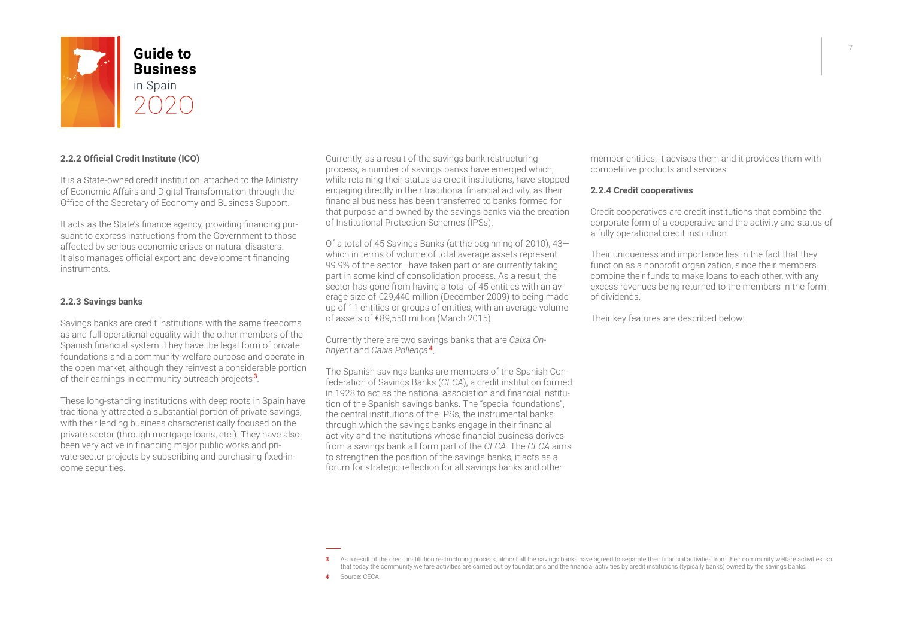

#### **2.2.2 Official Credit Institute (ICO)**

It is a State-owned credit institution, attached to the Ministry of Economic Affairs and Digital Transformation through the Office of the Secretary of Economy and Business Support.

It acts as the State's finance agency, providing financing pursuant to express instructions from the Government to those affected by serious economic crises or natural disasters. It also manages official export and development financing instruments.

#### **2.2.3 Savings banks**

Savings banks are credit institutions with the same freedoms as and full operational equality with the other members of the Spanish financial system. They have the legal form of private foundations and a community-welfare purpose and operate in the open market, although they reinvest a considerable portion of their earnings in community outreach projects<sup>3</sup>.

These long-standing institutions with deep roots in Spain have traditionally attracted a substantial portion of private savings, with their lending business characteristically focused on the private sector (through mortgage loans, etc.). They have also been very active in financing major public works and private-sector projects by subscribing and purchasing fixed-income securities.

Currently, as a result of the savings bank restructuring process, a number of savings banks have emerged which, while retaining their status as credit institutions, have stopped engaging directly in their traditional financial activity, as their financial business has been transferred to banks formed for that purpose and owned by the savings banks via the creation of Institutional Protection Schemes (IPSs).

Of a total of 45 Savings Banks (at the beginning of 2010), 43 which in terms of volume of total average assets represent 99.9% of the sector—have taken part or are currently taking part in some kind of consolidation process. As a result, the sector has gone from having a total of 45 entities with an average size of €29,440 million (December 2009) to being made up of 11 entities or groups of entities, with an average volume of assets of €89,550 million (March 2015).

Currently there are two savings banks that are *Caixa Ontinyent* and *Caixa Pollença* <sup>4</sup> .

The Spanish savings banks are members of the Spanish Confederation of Savings Banks (*CECA*), a credit institution formed in 1928 to act as the national association and financial institution of the Spanish savings banks. The "special foundations", the central institutions of the IPSs, the instrumental banks through which the savings banks engage in their financial activity and the institutions whose financial business derives from a savings bank all form part of the *CECA*. The *CECA* aims to strengthen the position of the savings banks, it acts as a forum for strategic reflection for all savings banks and other

member entities, it advises them and it provides them with competitive products and services.

#### **2.2.4 Credit cooperatives**

Credit cooperatives are credit institutions that combine the corporate form of a cooperative and the activity and status of a fully operational credit institution.

Their uniqueness and importance lies in the fact that they function as a nonprofit organization, since their members combine their funds to make loans to each other, with any excess revenues being returned to the members in the form of dividends.

Their key features are described below:

3 As a result of the credit institution restructuring process, almost all the savings banks have agreed to separate their financial activities from their community welfare activities, so that today the community welfare activities are carried out by foundations and the financial activities by credit institutions (typically banks) owned by the savings banks. 4 Source: CECA

7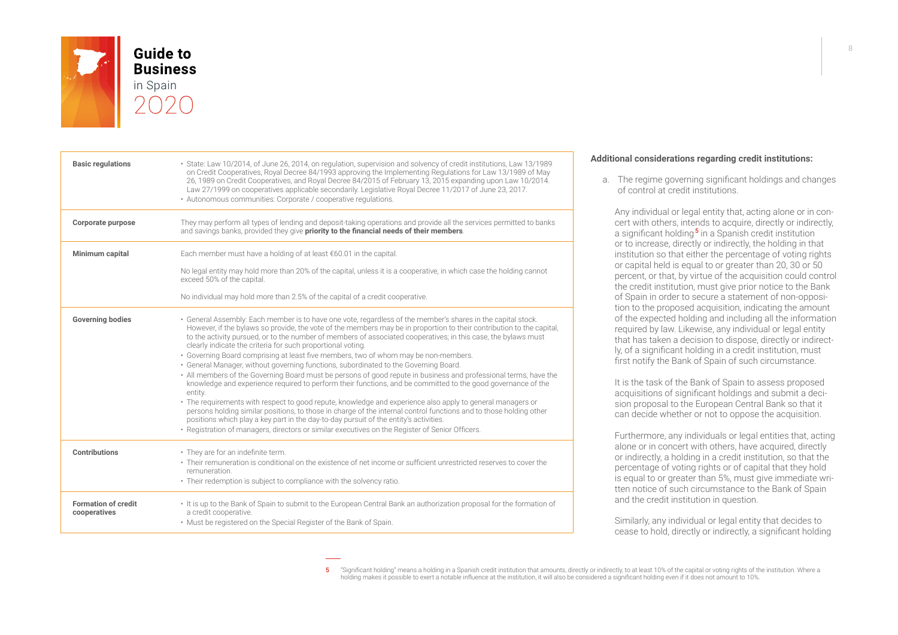

| <b>Basic regulations</b>                   | · State: Law 10/2014, of June 26, 2014, on regulation, supervision and solvency of credit institutions, Law 13/1989<br>on Credit Cooperatives, Royal Decree 84/1993 approving the Implementing Regulations for Law 13/1989 of May<br>26, 1989 on Credit Cooperatives, and Royal Decree 84/2015 of February 13, 2015 expanding upon Law 10/2014.<br>Law 27/1999 on cooperatives applicable secondarily. Legislative Royal Decree 11/2017 of June 23, 2017.<br>· Autonomous communities: Corporate / cooperative regulations.                                                                                                                                                                                                                                                                                                                                                                                                                                                                                                                                                                                                                                                                                                                                                          |
|--------------------------------------------|--------------------------------------------------------------------------------------------------------------------------------------------------------------------------------------------------------------------------------------------------------------------------------------------------------------------------------------------------------------------------------------------------------------------------------------------------------------------------------------------------------------------------------------------------------------------------------------------------------------------------------------------------------------------------------------------------------------------------------------------------------------------------------------------------------------------------------------------------------------------------------------------------------------------------------------------------------------------------------------------------------------------------------------------------------------------------------------------------------------------------------------------------------------------------------------------------------------------------------------------------------------------------------------|
| Corporate purpose                          | They may perform all types of lending and deposit-taking operations and provide all the services permitted to banks<br>and savings banks, provided they give priority to the financial needs of their members.                                                                                                                                                                                                                                                                                                                                                                                                                                                                                                                                                                                                                                                                                                                                                                                                                                                                                                                                                                                                                                                                       |
| Minimum capital                            | Each member must have a holding of at least €60.01 in the capital.                                                                                                                                                                                                                                                                                                                                                                                                                                                                                                                                                                                                                                                                                                                                                                                                                                                                                                                                                                                                                                                                                                                                                                                                                   |
|                                            | No legal entity may hold more than 20% of the capital, unless it is a cooperative, in which case the holding cannot<br>exceed 50% of the capital.                                                                                                                                                                                                                                                                                                                                                                                                                                                                                                                                                                                                                                                                                                                                                                                                                                                                                                                                                                                                                                                                                                                                    |
|                                            | No individual may hold more than 2.5% of the capital of a credit cooperative.                                                                                                                                                                                                                                                                                                                                                                                                                                                                                                                                                                                                                                                                                                                                                                                                                                                                                                                                                                                                                                                                                                                                                                                                        |
| <b>Governing bodies</b>                    | · General Assembly: Each member is to have one vote, regardless of the member's shares in the capital stock.<br>However, if the bylaws so provide, the vote of the members may be in proportion to their contribution to the capital,<br>to the activity pursued, or to the number of members of associated cooperatives; in this case, the bylaws must<br>clearly indicate the criteria for such proportional voting.<br>• Governing Board comprising at least five members, two of whom may be non-members.<br>• General Manager, without governing functions, subordinated to the Governing Board.<br>• All members of the Governing Board must be persons of good repute in business and professional terms, have the<br>knowledge and experience required to perform their functions, and be committed to the good governance of the<br>entity.<br>• The requirements with respect to good repute, knowledge and experience also apply to general managers or<br>persons holding similar positions, to those in charge of the internal control functions and to those holding other<br>positions which play a key part in the day-to-day pursuit of the entity's activities.<br>• Registration of managers, directors or similar executives on the Register of Senior Officers. |
| Contributions                              | • They are for an indefinite term.<br>• Their remuneration is conditional on the existence of net income or sufficient unrestricted reserves to cover the<br>remuneration.<br>• Their redemption is subject to compliance with the solvency ratio.                                                                                                                                                                                                                                                                                                                                                                                                                                                                                                                                                                                                                                                                                                                                                                                                                                                                                                                                                                                                                                   |
| <b>Formation of credit</b><br>cooperatives | It is up to the Bank of Spain to submit to the European Central Bank an authorization proposal for the formation of<br>a credit cooperative.<br>. Must be registered on the Special Register of the Bank of Spain.                                                                                                                                                                                                                                                                                                                                                                                                                                                                                                                                                                                                                                                                                                                                                                                                                                                                                                                                                                                                                                                                   |

#### **Additional considerations regarding credit institutions:**

a. The regime governing significant holdings and changes of control at credit institutions.

Any individual or legal entity that, acting alone or in concert with others, intends to acquire, directly or indirectly, a significant holding<sup>5</sup> in a Spanish credit institution or to increase, directly or indirectly, the holding in that institution so that either the percentage of voting rights or capital held is equal to or greater than 20, 30 or 50 percent, or that, by virtue of the acquisition could control the credit institution, must give prior notice to the Bank of Spain in order to secure a statement of non-opposition to the proposed acquisition, indicating the amount of the expected holding and including all the information required by law. Likewise, any individual or legal entity that has taken a decision to dispose, directly or indirectly, of a significant holding in a credit institution, must first notify the Bank of Spain of such circumstance.

It is the task of the Bank of Spain to assess proposed acquisitions of significant holdings and submit a decision proposal to the European Central Bank so that it can decide whether or not to oppose the acquisition.

Furthermore, any individuals or legal entities that, acting alone or in concert with others, have acquired, directly or indirectly, a holding in a credit institution, so that the percentage of voting rights or of capital that they hold is equal to or greater than 5%, must give immediate written notice of such circumstance to the Bank of Spain and the credit institution in question.

Similarly, any individual or legal entity that decides to cease to hold, directly or indirectly, a significant holding

5 "Significant holding" means a holding in a Spanish credit institution that amounts, directly or indirectly, to at least 10% of the capital or voting rights of the institution. Where a<br>holding makes it possible to exert a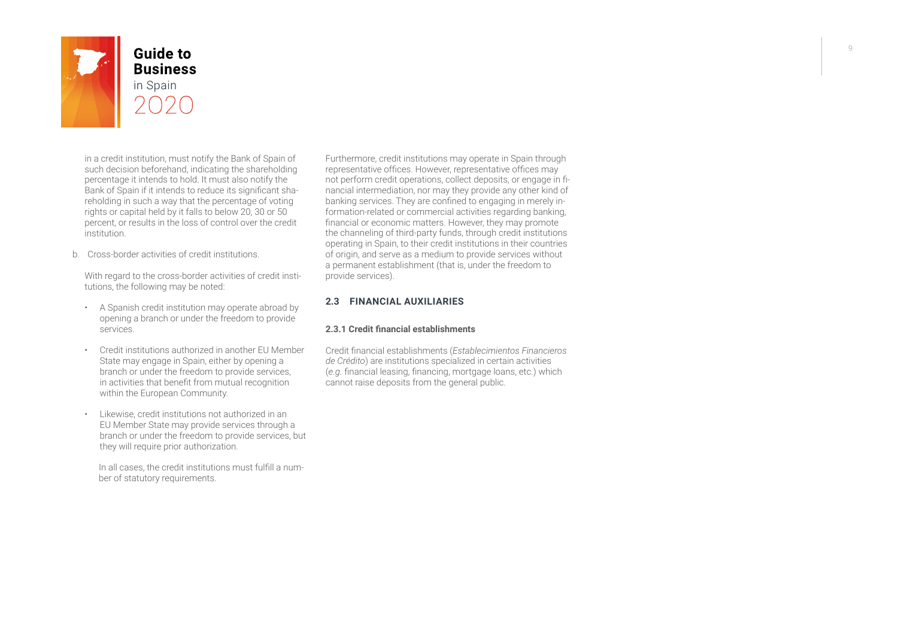

# **Guide to Business**

in a credit institution, must notify the Bank of Spain of such decision beforehand, indicating the shareholding percentage it intends to hold. It must also notify the Bank of Spain if it intends to reduce its significant shareholding in such a way that the percentage of voting rights or capital held by it falls to below 20, 30 or 50 percent, or results in the loss of control over the credit institution.

b. Cross-border activities of credit institutions.

With regard to the cross-border activities of credit institutions, the following may be noted:

- A Spanish credit institution may operate abroad by opening a branch or under the freedom to provide services.
- Credit institutions authorized in another EU Member State may engage in Spain, either by opening a branch or under the freedom to provide services, in activities that benefit from mutual recognition within the European Community.
- Likewise, credit institutions not authorized in an EU Member State may provide services through a branch or under the freedom to provide services, but they will require prior authorization.

In all cases, the credit institutions must fulfill a number of statutory requirements.

Furthermore, credit institutions may operate in Spain through representative offices. However, representative offices may not perform credit operations, collect deposits, or engage in financial intermediation, nor may they provide any other kind of banking services. They are confined to engaging in merely information-related or commercial activities regarding banking, financial or economic matters. However, they may promote the channeling of third-party funds, through credit institutions operating in Spain, to their credit institutions in their countries of origin, and serve as a medium to provide services without a permanent establishment (that is, under the freedom to provide services).

#### **2.3 FINANCIAL AUXILIARIES**

#### **2.3.1 Credit financial establishments**

Credit financial establishments (*Establecimientos Financieros de Crédito*) are institutions specialized in certain activities (*e.g.* financial leasing, financing, mortgage loans, etc.) which cannot raise deposits from the general public.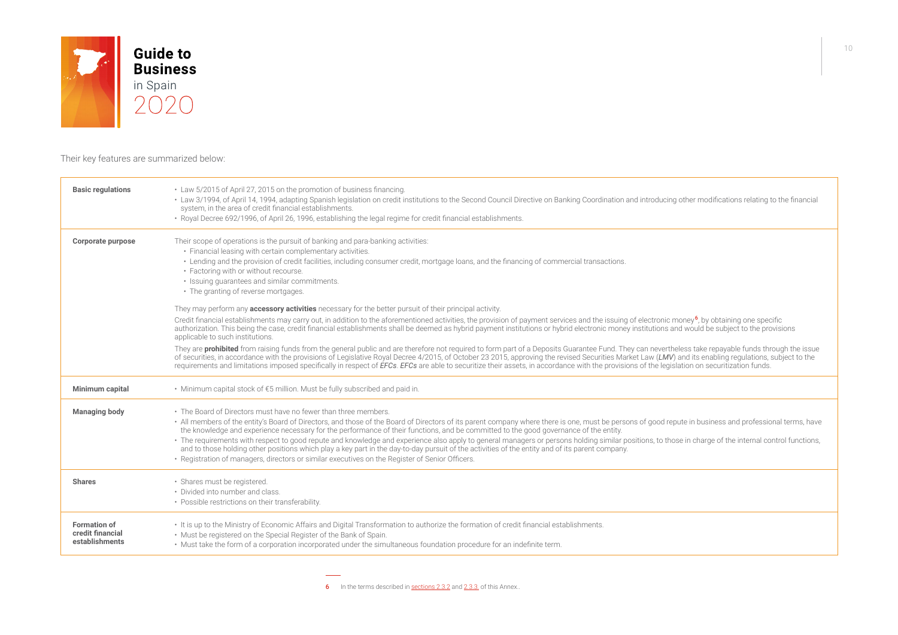

Their key features are summarized below:

| <b>Basic regulations</b>                                  | • Law 5/2015 of April 27, 2015 on the promotion of business financing.<br>• Law 3/1994, of April 14, 1994, adapting Spanish legislation on credit institutions to the Second Council Directive on Banking Coordination and introducing other modifications relating to the financial<br>system, in the area of credit financial establishments.<br>• Royal Decree 692/1996, of April 26, 1996, establishing the legal regime for credit financial establishments.                                                                                                                                                                                                                                                                                                                                                                                                                   |
|-----------------------------------------------------------|-------------------------------------------------------------------------------------------------------------------------------------------------------------------------------------------------------------------------------------------------------------------------------------------------------------------------------------------------------------------------------------------------------------------------------------------------------------------------------------------------------------------------------------------------------------------------------------------------------------------------------------------------------------------------------------------------------------------------------------------------------------------------------------------------------------------------------------------------------------------------------------|
| Corporate purpose                                         | Their scope of operations is the pursuit of banking and para-banking activities:<br>• Financial leasing with certain complementary activities.<br>• Lending and the provision of credit facilities, including consumer credit, mortgage loans, and the financing of commercial transactions.<br>• Factoring with or without recourse.<br>• Issuing guarantees and similar commitments.<br>• The granting of reverse mortgages.                                                                                                                                                                                                                                                                                                                                                                                                                                                      |
|                                                           | They may perform any <b>accessory activities</b> necessary for the better pursuit of their principal activity.                                                                                                                                                                                                                                                                                                                                                                                                                                                                                                                                                                                                                                                                                                                                                                      |
|                                                           | Credit financial establishments may carry out, in addition to the aforementioned activities, the provision of payment services and the issuing of electronic money <sup>6</sup> , by obtaining one specific<br>authorization. This being the case, credit financial establishments shall be deemed as hybrid payment institutions or hybrid electronic money institutions and would be subject to the provisions<br>applicable to such institutions.                                                                                                                                                                                                                                                                                                                                                                                                                                |
|                                                           | They are prohibited from raising funds from the general public and are therefore not required to form part of a Deposits Guarantee Fund. They can nevertheless take repayable funds through the issue<br>of securities, in accordance with the provisions of Legislative Royal Decree 4/2015, of October 23 2015, approving the revised Securities Market Law (LMV) and its enabling regulations, subject to the<br>requirements and limitations imposed specifically in respect of EFCs. EFCs are able to securitize their assets, in accordance with the provisions of the legislation on securitization funds.                                                                                                                                                                                                                                                                   |
| Minimum capital                                           | • Minimum capital stock of €5 million. Must be fully subscribed and paid in.                                                                                                                                                                                                                                                                                                                                                                                                                                                                                                                                                                                                                                                                                                                                                                                                        |
| <b>Managing body</b>                                      | • The Board of Directors must have no fewer than three members.<br>· All members of the entity's Board of Directors, and those of the Board of Directors of its parent company where there is one, must be persons of good repute in business and professional terms, have<br>the knowledge and experience necessary for the performance of their functions, and be committed to the good governance of the entity.<br>· The requirements with respect to good repute and knowledge and experience also apply to general managers or persons holding similar positions, to those in charge of the internal control functions,<br>and to those holding other positions which play a key part in the day-to-day pursuit of the activities of the entity and of its parent company.<br>• Registration of managers, directors or similar executives on the Register of Senior Officers. |
| <b>Shares</b>                                             | · Shares must be registered.<br>• Divided into number and class.<br>• Possible restrictions on their transferability.                                                                                                                                                                                                                                                                                                                                                                                                                                                                                                                                                                                                                                                                                                                                                               |
| <b>Formation of</b><br>credit financial<br>establishments | It is up to the Ministry of Economic Affairs and Digital Transformation to authorize the formation of credit financial establishments.<br>. Must be registered on the Special Register of the Bank of Spain.<br>. Must take the form of a corporation incorporated under the simultaneous foundation procedure for an indefinite term.                                                                                                                                                                                                                                                                                                                                                                                                                                                                                                                                              |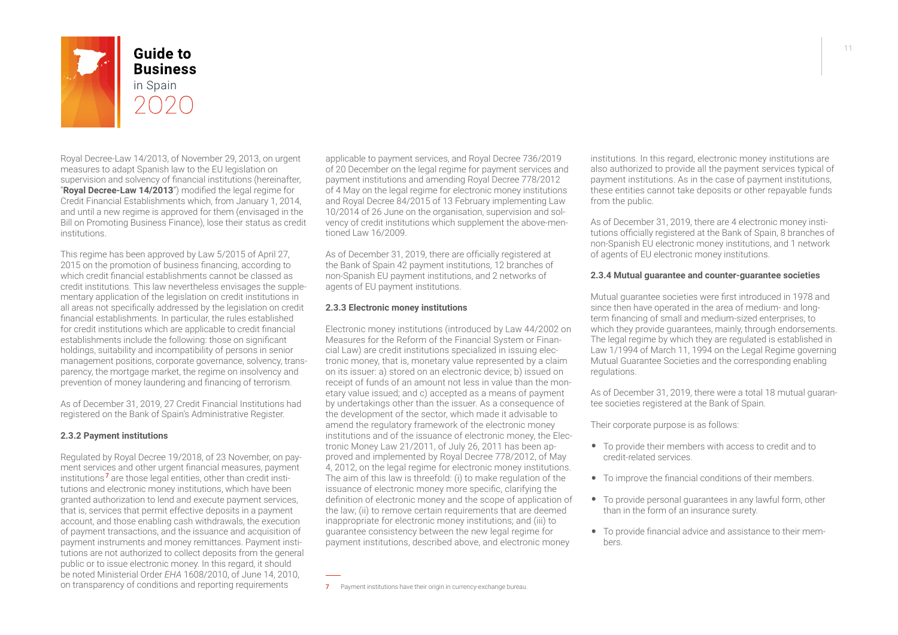<span id="page-10-0"></span>

## **Guide to Business** in Spain

Royal Decree-Law 14/2013, of November 29, 2013, on urgent measures to adapt Spanish law to the EU legislation on supervision and solvency of financial institutions (hereinafter, "**Royal Decree-Law 14/2013**") modified the legal regime for Credit Financial Establishments which, from January 1, 2014, and until a new regime is approved for them (envisaged in the Bill on Promoting Business Finance), lose their status as credit institutions.

This regime has been approved by Law 5/2015 of April 27, 2015 on the promotion of business financing, according to which credit financial establishments cannot be classed as credit institutions. This law nevertheless envisages the supplementary application of the legislation on credit institutions in all areas not specifically addressed by the legislation on credit financial establishments. In particular, the rules established for credit institutions which are applicable to credit financial establishments include the following: those on significant holdings, suitability and incompatibility of persons in senior management positions, corporate governance, solvency, transparency, the mortgage market, the regime on insolvency and prevention of money laundering and financing of terrorism.

As of December 31, 2019, 27 Credit Financial Institutions had registered on the Bank of Spain's Administrative Register.

#### **2.3.2 Payment institutions**

Regulated by Royal Decree 19/2018, of 23 November, on payment services and other urgent financial measures, payment institutions <sup>7</sup> are those legal entities, other than credit institutions and electronic money institutions, which have been granted authorization to lend and execute payment services, that is, services that permit effective deposits in a payment account, and those enabling cash withdrawals, the execution of payment transactions, and the issuance and acquisition of payment instruments and money remittances. Payment institutions are not authorized to collect deposits from the general public or to issue electronic money. In this regard, it should be noted Ministerial Order *EHA* 1608/2010, of June 14, 2010, on transparency of conditions and reporting requirements

applicable to payment services, and Royal Decree 736/2019 of 20 December on the legal regime for payment services and payment institutions and amending Royal Decree 778/2012 of 4 May on the legal regime for electronic money institutions and Royal Decree 84/2015 of 13 February implementing Law 10/2014 of 26 June on the organisation, supervision and solvency of credit institutions which supplement the above-mentioned Law 16/2009.

As of December 31, 2019, there are officially registered at the Bank of Spain 42 payment institutions, 12 branches of non-Spanish EU payment institutions, and 2 networks of agents of EU payment institutions.

#### **2.3.3 Electronic money institutions**

Electronic money institutions (introduced by Law 44/2002 on Measures for the Reform of the Financial System or Financial Law) are credit institutions specialized in issuing electronic money, that is, monetary value represented by a claim on its issuer: a) stored on an electronic device; b) issued on receipt of funds of an amount not less in value than the monetary value issued; and c) accepted as a means of payment by undertakings other than the issuer. As a consequence of the development of the sector, which made it advisable to amend the regulatory framework of the electronic money institutions and of the issuance of electronic money, the Electronic Money Law 21/2011, of July 26, 2011 has been approved and implemented by Royal Decree 778/2012, of May 4, 2012, on the legal regime for electronic money institutions. The aim of this law is threefold: (i) to make regulation of the issuance of electronic money more specific, clarifying the definition of electronic money and the scope of application of the law; (ii) to remove certain requirements that are deemed inappropriate for electronic money institutions; and (iii) to guarantee consistency between the new legal regime for payment institutions, described above, and electronic money

7 Payment institutions have their origin in currency-exchange bureau.

institutions. In this regard, electronic money institutions are also authorized to provide all the payment services typical of payment institutions. As in the case of payment institutions, these entities cannot take deposits or other repayable funds from the public.

As of December 31, 2019, there are 4 electronic money institutions officially registered at the Bank of Spain, 8 branches of non-Spanish EU electronic money institutions, and 1 network of agents of EU electronic money institutions.

#### **2.3.4 Mutual guarantee and counter-guarantee societies**

Mutual guarantee societies were first introduced in 1978 and since then have operated in the area of medium- and longterm financing of small and medium-sized enterprises, to which they provide quarantees, mainly, through endorsements. The legal regime by which they are regulated is established in Law 1/1994 of March 11, 1994 on the Legal Regime governing Mutual Guarantee Societies and the corresponding enabling regulations.

As of December 31, 2019, there were a total 18 mutual guarantee societies registered at the Bank of Spain.

Their corporate purpose is as follows:

- To provide their members with access to credit and to credit-related services.
- To improve the financial conditions of their members.
- To provide personal guarantees in any lawful form, other than in the form of an insurance surety.
- To provide financial advice and assistance to their members.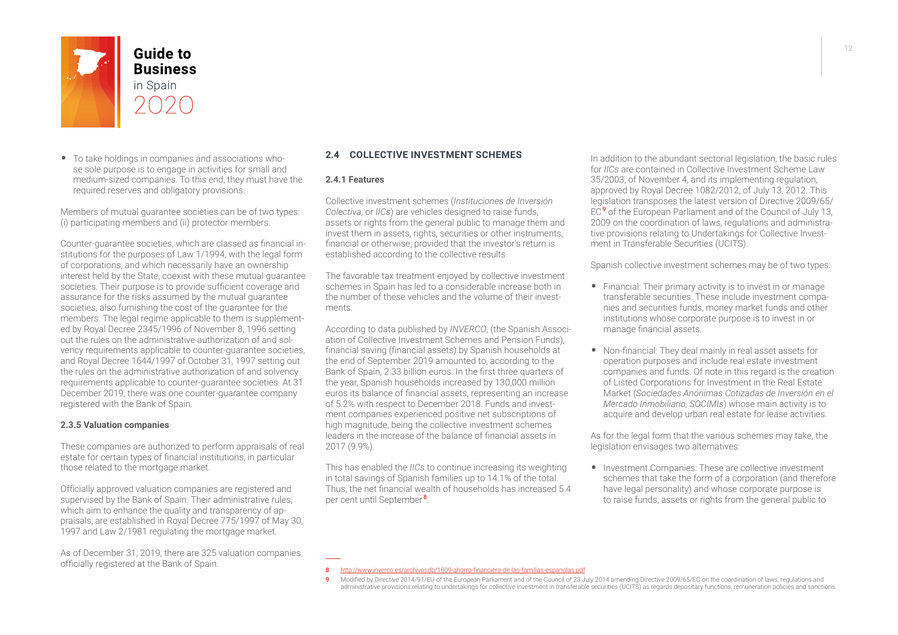

• To take holdings in companies and associations whose sole purpose is to engage in activities for small and medium-sized companies. To this end, they must have the required reserves and obligatory provisions.

Members of mutual guarantee societies can be of two types: (i) participating members and (ii) protector members.

Counter-guarantee societies, which are classed as financial institutions for the purposes of Law 1/1994, with the legal form of corporations, and which necessarily have an ownership interest held by the State, coexist with these mutual guarantee societies. Their purpose is to provide sufficient coverage and assurance for the risks assumed by the mutual guarantee societies, also furnishing the cost of the guarantee for the members. The legal regime applicable to them is supplemented by Royal Decree 2345/1996 of November 8, 1996 setting out the rules on the administrative authorization of and solvency requirements applicable to counter-guarantee societies, and Royal Decree 1644/1997 of October 31, 1997 setting out the rules on the administrative authorization of and solvency requirements applicable to counter-guarantee societies. At 31 December 2019, there was one counter-guarantee company registered with the Bank of Spain.

#### **2.3.5 Valuation companies**

These companies are authorized to perform appraisals of real estate for certain types of financial institutions, in particular those related to the mortgage market.

Officially approved valuation companies are registered and supervised by the Bank of Spain. Their administrative rules, which aim to enhance the quality and transparency of appraisals, are established in Royal Decree 775/1997 of May 30, 1997 and Law 2/1981 regulating the mortgage market.

As of December 31, 2019, there are 325 valuation companies officially registered at the Bank of Spain.

#### **2.4 COLLECTIVE INVESTMENT SCHEMES**

#### **2.4.1 Features**

Collective investment schemes (*Instituciones de Inversión Colectiva*, or *IICs*) are vehicles designed to raise funds, assets or rights from the general public to manage them and invest them in assets, rights, securities or other instruments, financial or otherwise, provided that the investor's return is established according to the collective results.

The favorable tax treatment enjoyed by collective investment schemes in Spain has led to a considerable increase both in the number of these vehicles and the volume of their investments.

According to data published by *INVERCO*, (the Spanish Association of Collective Investment Schemes and Pension Funds), financial saving (financial assets) by Spanish households at the end of September 2019 amounted to, according to the Bank of Spain, 2.33 billion euros. In the first three quarters of the year, Spanish households increased by 130,000 million euros its balance of financial assets, representing an increase of 5.2% with respect to December 2018. Funds and investment companies experienced positive net subscriptions of high magnitude, being the collective investment schemes leaders in the increase of the balance of financial assets in 2017 (9.9%).

This has enabled the *IICs* to continue increasing its weighting in total savings of Spanish families up to 14.1% of the total. Thus, the net financial wealth of households has increased 5.4 per cent until September<sup>8</sup>.

In addition to the abundant sectorial legislation, the basic rules for *IICs* are contained in Collective Investment Scheme Law 35/2003, of November 4, and its implementing regulation, approved by Royal Decree 1082/2012, of July 13, 2012. This legislation transposes the latest version of Directive 2009/65/ EC<sup>9</sup> of the European Parliament and of the Council of July 13. 2009 on the coordination of laws, regulations and administrative provisions relating to Undertakings for Collective Investment in Transferable Securities (UCITS).

Spanish collective investment schemes may be of two types:

- Financial: Their primary activity is to invest in or manage transferable securities. These include investment companies and securities funds, money market funds and other institutions whose corporate purpose is to invest in or manage financial assets.
- Non-financial: They deal mainly in real asset assets for operation purposes and include real estate investment companies and funds. Of note in this regard is the creation of Listed Corporations for Investment in the Real Estate Market (*Sociedades Anónimas Cotizadas de Inversión en el Mercado Inmobiliario, SOCIMIs*) whose main activity is to acquire and develop urban real estate for lease activities.

As for the legal form that the various schemes may take, the legislation envisages two alternatives:

• Investment Companies: These are collective investment schemes that take the form of a corporation (and therefore have legal personality) and whose corporate purpose is to raise funds, assets or rights from the general public to

<sup>8</sup> <http://www.inverco.es/archivosdb/1809-ahorro-financiero-de-las-familias-espanolas.pdf>

<sup>9</sup> Modified by Directive 2014/91/EU of the European Parliament and of the Council of 23 July 2014 amending Directive 2009/65/EC on the coordination of laws, regulations and administrative provisions relating to undertakings for collective investment in transferable securities (UCITS) as regards depositary functions, remuneration policies and sanctions.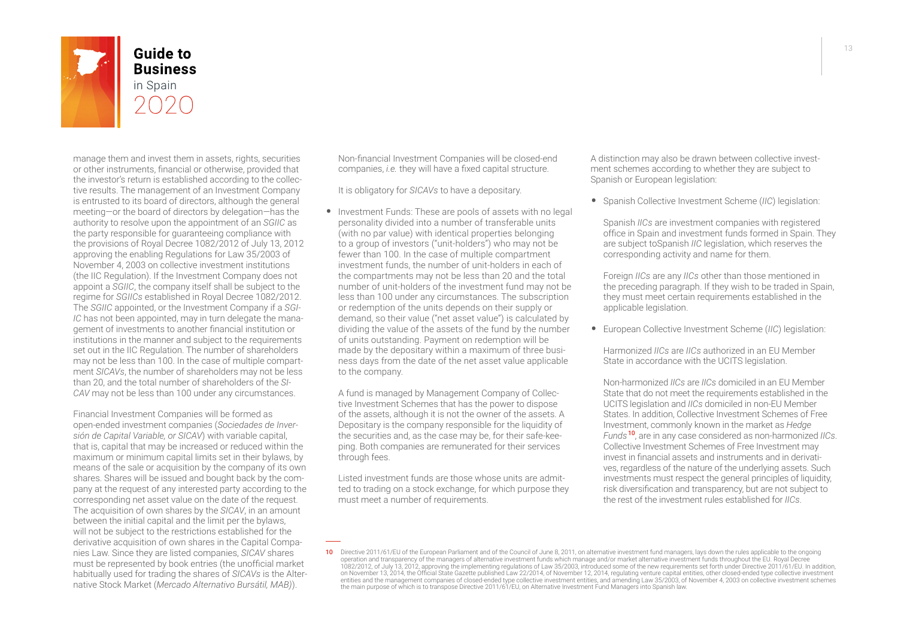

## **Guide to Business** in Spain

manage them and invest them in assets, rights, securities or other instruments, financial or otherwise, provided that the investor's return is established according to the collective results. The management of an Investment Company is entrusted to its board of directors, although the general meeting—or the board of directors by delegation—has the authority to resolve upon the appointment of an *SGIIC* as the party responsible for guaranteeing compliance with the provisions of Royal Decree 1082/2012 of July 13, 2012 approving the enabling Regulations for Law 35/2003 of November 4, 2003 on collective investment institutions (the IIC Regulation). If the Investment Company does not appoint a *SGIIC*, the company itself shall be subject to the regime for *SGIICs* established in Royal Decree 1082/2012. The *SGIIC* appointed, or the Investment Company if a *SGI-IC* has not been appointed, may in turn delegate the management of investments to another financial institution or institutions in the manner and subject to the requirements set out in the IIC Regulation. The number of shareholders may not be less than 100. In the case of multiple compartment *SICAVs*, the number of shareholders may not be less than 20, and the total number of shareholders of the *SI-CAV* may not be less than 100 under any circumstances.

Financial Investment Companies will be formed as open-ended investment companies (*Sociedades de Inversión de Capital Variable, or SICAV*) with variable capital, that is, capital that may be increased or reduced within the maximum or minimum capital limits set in their bylaws, by means of the sale or acquisition by the company of its own shares. Shares will be issued and bought back by the company at the request of any interested party according to the corresponding net asset value on the date of the request. The acquisition of own shares by the *SICAV*, in an amount between the initial capital and the limit per the bylaws, will not be subject to the restrictions established for the derivative acquisition of own shares in the Capital Companies Law. Since they are listed companies, *SICAV* shares must be represented by book entries (the unofficial market habitually used for trading the shares of *SICAVs* is the Alternative Stock Market (*Mercado Alternativo Bursátil, MAB)*).

Non-financial Investment Companies will be closed-end companies, *i.e.* they will have a fixed capital structure.

It is obligatory for *SICAVs* to have a depositary.

• Investment Funds: These are pools of assets with no legal personality divided into a number of transferable units (with no par value) with identical properties belonging to a group of investors ("unit-holders") who may not be fewer than 100. In the case of multiple compartment investment funds, the number of unit-holders in each of the compartments may not be less than 20 and the total number of unit-holders of the investment fund may not be less than 100 under any circumstances. The subscription or redemption of the units depends on their supply or demand, so their value ("net asset value") is calculated by dividing the value of the assets of the fund by the number of units outstanding. Payment on redemption will be made by the depositary within a maximum of three business days from the date of the net asset value applicable to the company.

A fund is managed by Management Company of Collective Investment Schemes that has the power to dispose of the assets, although it is not the owner of the assets. A Depositary is the company responsible for the liquidity of the securities and, as the case may be, for their safe-keeping. Both companies are remunerated for their services through fees.

Listed investment funds are those whose units are admitted to trading on a stock exchange, for which purpose they must meet a number of requirements.

A distinction may also be drawn between collective investment schemes according to whether they are subject to Spanish or European legislation:

• Spanish Collective Investment Scheme (*IIC*) legislation:

Spanish *IICs* are investment companies with registered office in Spain and investment funds formed in Spain. They are subject toSpanish *IIC* legislation, which reserves the corresponding activity and name for them.

Foreign *IICs* are any *IICs* other than those mentioned in the preceding paragraph. If they wish to be traded in Spain, they must meet certain requirements established in the applicable legislation.

• European Collective Investment Scheme (*IIC*) legislation:

Harmonized *IICs* are *IICs* authorized in an EU Member State in accordance with the UCITS legislation.

Non-harmonized *IICs* are *IICs* domiciled in an EU Member State that do not meet the requirements established in the UCITS legislation and *IICs* domiciled in non-EU Member States. In addition, Collective Investment Schemes of Free Investment, commonly known in the market as *Hedge Funds* <sup>10</sup>, are in any case considered as non-harmonized *IICs*. Collective Investment Schemes of Free Investment may invest in financial assets and instruments and in derivatives, regardless of the nature of the underlying assets. Such investments must respect the general principles of liquidity, risk diversification and transparency, but are not subject to the rest of the investment rules established for *IICs*.

<sup>10</sup> Directive 2011/61/EU of the European Parliament and of the Council of June 8, 2011, on alternative investment fund managers, lays down the rules applicable to the ongoing operation and transparency of the managers of alternative investment funds which manage and/or market alternative investment funds throughout the EU. Royal Decree<br>1082/2012, of July 13, 2012, approving the implementing reg on November 13, 2014, the Official State Gazette published Law 22/2014, of November 12, 2014, regulating venture capital entities, other closed-ended type collective investment entities and the management companies of closed-ended type collective investment entities, and amending Law 35/2003, of November 4, 2003 on collective investment schemes<br>the main purpose of which is to transpose Directive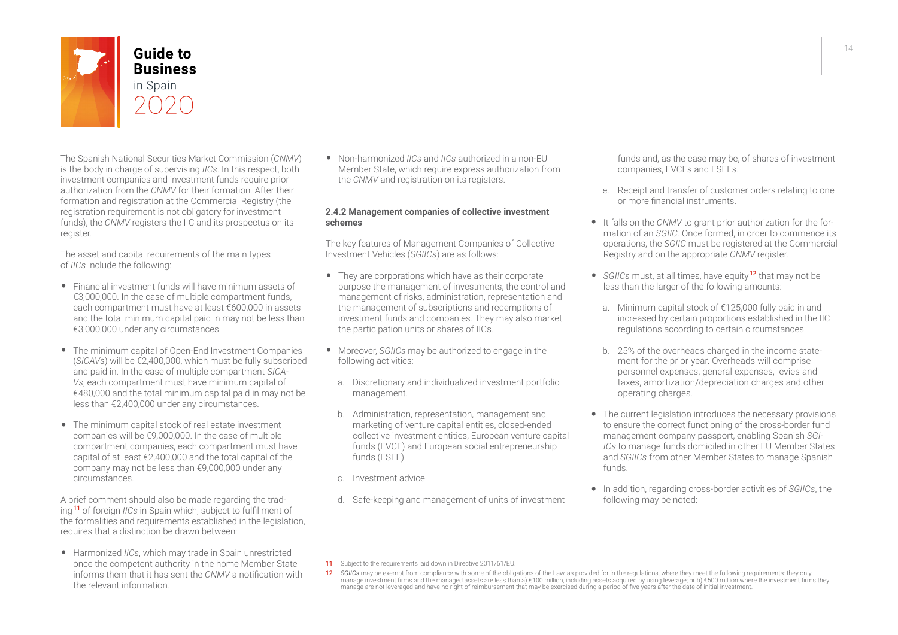

The Spanish National Securities Market Commission (*CNMV*) is the body in charge of supervising *IICs*. In this respect, both investment companies and investment funds require prior authorization from the *CNMV* for their formation. After their formation and registration at the Commercial Registry (the registration requirement is not obligatory for investment funds), the *CNMV* registers the IIC and its prospectus on its register.

The asset and capital requirements of the main types of *IICs* include the following:

- Financial investment funds will have minimum assets of €3,000,000. In the case of multiple compartment funds, each compartment must have at least €600,000 in assets and the total minimum capital paid in may not be less than €3,000,000 under any circumstances.
- The minimum capital of Open-End Investment Companies (*SICAVs*) will be €2,400,000, which must be fully subscribed and paid in. In the case of multiple compartment *SICA-Vs*, each compartment must have minimum capital of €480,000 and the total minimum capital paid in may not be less than €2,400,000 under any circumstances.
- The minimum capital stock of real estate investment companies will be €9,000,000. In the case of multiple compartment companies, each compartment must have capital of at least €2,400,000 and the total capital of the company may not be less than €9,000,000 under any circumstances.

A brief comment should also be made regarding the trading <sup>11</sup> of foreign *IICs* in Spain which, subject to fulfillment of the formalities and requirements established in the legislation, requires that a distinction be drawn between:

• Harmonized *IICs*, which may trade in Spain unrestricted once the competent authority in the home Member State informs them that it has sent the *CNMV* a notification with the relevant information.

• Non-harmonized *IICs* and *IICs* authorized in a non-EU Member State, which require express authorization from the *CNMV* and registration on its registers.

#### **2.4.2 Management companies of collective investment schemes**

The key features of Management Companies of Collective Investment Vehicles (*SGIICs*) are as follows:

- They are corporations which have as their corporate purpose the management of investments, the control and management of risks, administration, representation and the management of subscriptions and redemptions of investment funds and companies. They may also market the participation units or shares of IICs.
- Moreover, *SGIICs* may be authorized to engage in the following activities:
	- a. Discretionary and individualized investment portfolio management.
	- b. Administration, representation, management and marketing of venture capital entities, closed-ended collective investment entities, European venture capital funds (EVCF) and European social entrepreneurship funds (ESEF).
	- c. Investment advice.
	- d. Safe-keeping and management of units of investment

funds and, as the case may be, of shares of investment companies, EVCFs and ESEFs.

- e. Receipt and transfer of customer orders relating to one or more financial instruments.
- It falls on the *CNMV* to grant prior authorization for the formation of an *SGIIC*. Once formed, in order to commence its operations, the *SGIIC* must be registered at the Commercial Registry and on the appropriate *CNMV* register.
- *• SGIICs* must, at all times, have equity <sup>12</sup> that may not be less than the larger of the following amounts:
	- a. Minimum capital stock of €125,000 fully paid in and increased by certain proportions established in the IIC regulations according to certain circumstances.
	- b. 25% of the overheads charged in the income statement for the prior year. Overheads will comprise personnel expenses, general expenses, levies and taxes, amortization/depreciation charges and other operating charges.
- The current legislation introduces the necessary provisions to ensure the correct functioning of the cross-border fund management company passport, enabling Spanish *SGI-ICs* to manage funds domiciled in other EU Member States and *SGIICs* from other Member States to manage Spanish funds.
- In addition, regarding cross-border activities of *SGIICs*, the following may be noted:

#### 11 Subject to the requirements laid down in Directive 2011/61/EU.

<sup>12</sup> SGIICs may be exempt from compliance with some of the obligations of the Law, as provided for in the regulations, where they meet the following requirements: they only manage investment firms and the managed assets are less than a) €100 million, including assets acquired by using leverage; or b) €500 million where the investment firms they<br>manage are not leveraged and have no right of r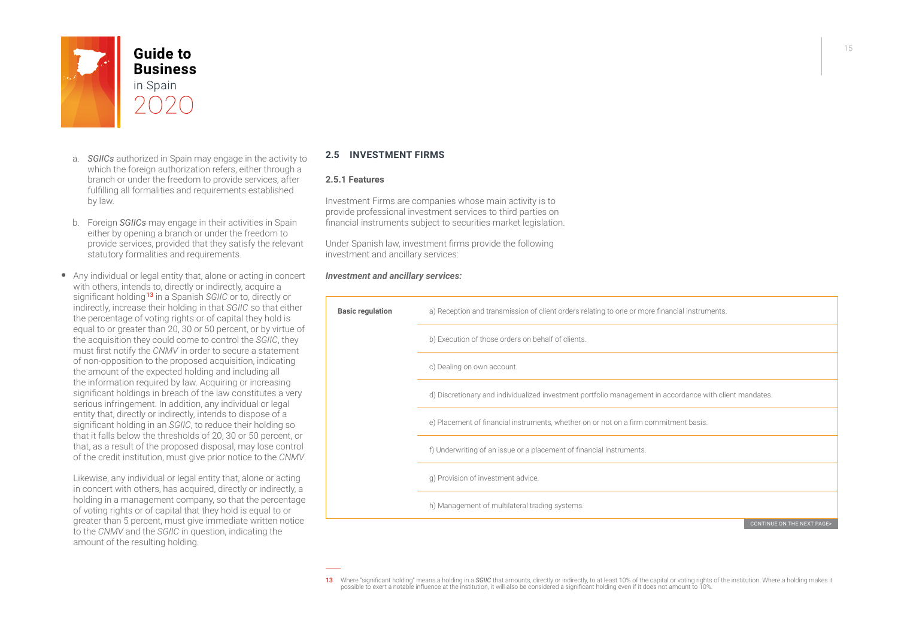

- a. *SGIICs* authorized in Spain may engage in the activity to which the foreign authorization refers, either through a branch or under the freedom to provide services, after fulfilling all formalities and requirements established by law.
- b. Foreign *SGIICs* may engage in their activities in Spain either by opening a branch or under the freedom to provide services, provided that they satisfy the relevant statutory formalities and requirements.
- Any individual or legal entity that, alone or acting in concert with others, intends to, directly or indirectly, acquire a significant holding <sup>13</sup> in a Spanish *SGIIC* or to, directly or indirectly, increase their holding in that *SGIIC* so that either the percentage of voting rights or of capital they hold is equal to or greater than 20, 30 or 50 percent, or by virtue of the acquisition they could come to control the *SGIIC*, they must first notify the *CNMV* in order to secure a statement of non-opposition to the proposed acquisition, indicating the amount of the expected holding and including all the information required by law. Acquiring or increasing significant holdings in breach of the law constitutes a very serious infringement. In addition, any individual or legal entity that, directly or indirectly, intends to dispose of a significant holding in an *SGIIC*, to reduce their holding so that it falls below the thresholds of 20, 30 or 50 percent, or that, as a result of the proposed disposal, may lose control of the credit institution, must give prior notice to the *CNMV*.

Likewise, any individual or legal entity that, alone or acting in concert with others, has acquired, directly or indirectly, a holding in a management company, so that the percentage of voting rights or of capital that they hold is equal to or greater than 5 percent, must give immediate written notice to the *CNMV* and the *SGIIC* in question, indicating the amount of the resulting holding.

#### **2.5 INVESTMENT FIRMS**

#### **2.5.1 Features**

Investment Firms are companies whose main activity is to provide professional investment services to third parties on financial instruments subject to securities market legislation.

Under Spanish law, investment firms provide the following investment and ancillary services:

#### *Investment and ancillary services:*



Where "significant holding" means a holding in a SGIIC that amounts, directly or indirectly, to at least 10% of the capital or voting rights of the institution. Where a holding makes it<br>possible to exert a notable influenc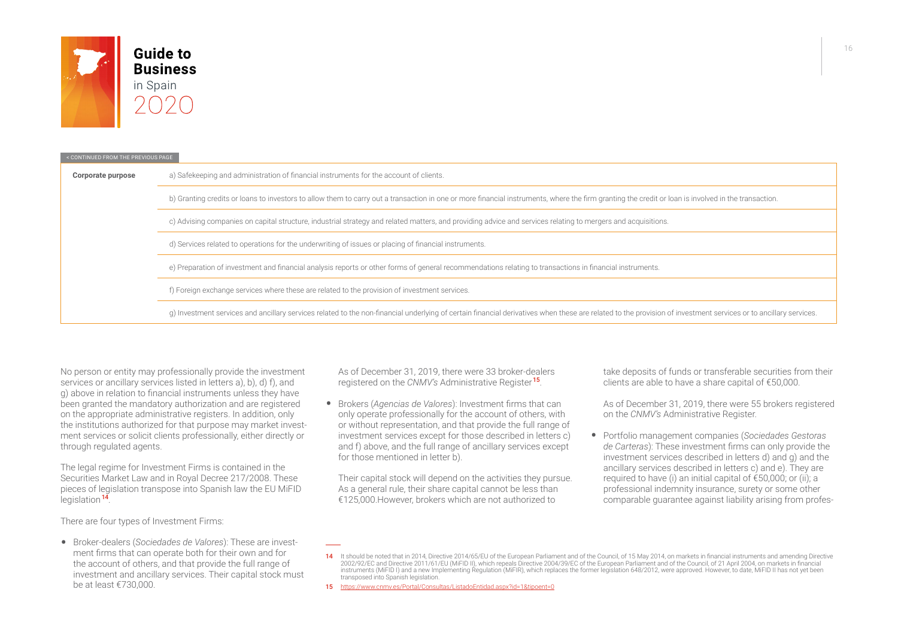

| < CONTINUED FROM THE PREVIOUS PAGE                                                                                                                       |                                                                                                                                                                                                                 |  |  |
|----------------------------------------------------------------------------------------------------------------------------------------------------------|-----------------------------------------------------------------------------------------------------------------------------------------------------------------------------------------------------------------|--|--|
| Corporate purpose                                                                                                                                        | a) Safekeeping and administration of financial instruments for the account of clients.                                                                                                                          |  |  |
|                                                                                                                                                          | b) Granting credits or loans to investors to allow them to carry out a transaction in one or more financial instruments, where the firm granting the credit or loan is involved in the transaction.             |  |  |
|                                                                                                                                                          | c) Advising companies on capital structure, industrial strategy and related matters, and providing advice and services relating to mergers and acquisitions.                                                    |  |  |
|                                                                                                                                                          | d) Services related to operations for the underwriting of issues or placing of financial instruments.                                                                                                           |  |  |
| e) Preparation of investment and financial analysis reports or other forms of general recommendations relating to transactions in financial instruments. |                                                                                                                                                                                                                 |  |  |
|                                                                                                                                                          | f) Foreign exchange services where these are related to the provision of investment services.                                                                                                                   |  |  |
|                                                                                                                                                          | g) Investment services and ancillary services related to the non-financial underlying of certain financial derivatives when these are related to the provision of investment services or to ancillary services. |  |  |

No person or entity may professionally provide the investment services or ancillary services listed in letters a), b), d) f), and g) above in relation to financial instruments unless they have been granted the mandatory authorization and are registered on the appropriate administrative registers. In addition, only the institutions authorized for that purpose may market investment services or solicit clients professionally, either directly or through regulated agents.

The legal regime for Investment Firms is contained in the Securities Market Law and in Royal Decree 217/2008. These pieces of legislation transpose into Spanish law the EU MiFID legislation<sup>14</sup>.

There are four types of Investment Firms:

• Broker-dealers (*Sociedades de Valores*): These are investment firms that can operate both for their own and for the account of others, and that provide the full range of investment and ancillary services. Their capital stock must be at least €730,000.

As of December 31, 2019, there were 33 broker-dealers registered on the *CNMV's* Administrative Register <sup>15</sup>.

• Brokers (*Agencias de Valores*): Investment firms that can only operate professionally for the account of others, with or without representation, and that provide the full range of investment services except for those described in letters c) and f) above, and the full range of ancillary services except for those mentioned in letter b).

Their capital stock will depend on the activities they pursue. As a general rule, their share capital cannot be less than €125,000.However, brokers which are not authorized to

take deposits of funds or transferable securities from their clients are able to have a share capital of €50,000.

As of December 31, 2019, there were 55 brokers registered on the *CNMV's* Administrative Register.

• Portfolio management companies (*Sociedades Gestoras de Carteras*): These investment firms can only provide the investment services described in letters d) and g) and the ancillary services described in letters c) and e). They are required to have (i) an initial capital of €50,000; or (ii); a professional indemnity insurance, surety or some other comparable guarantee against liability arising from profes-

<sup>14</sup> It should be noted that in 2014, Directive 2014/65/EU of the European Parliament and of the Council, of 15 May 2014, on markets in financial instruments and amending Directive 2002/92/EC and Directive 2011/61/EU (MiFID II), which repeals Directive 2004/39/EC of the European Parliament and of the Council, of 21 April 2004, on markets in financial instruments (MiFID I) and a new Implementing Regulation (MiFIR), which replaces the former legislation 648/2012, were approved. However, to date, MiFID II has not yet been transposed into Spanish legislation.

<sup>15</sup> https://www.cnmy.es/Portal/Consultas/ListadoEntidad.aspx?id=1&tipoent=0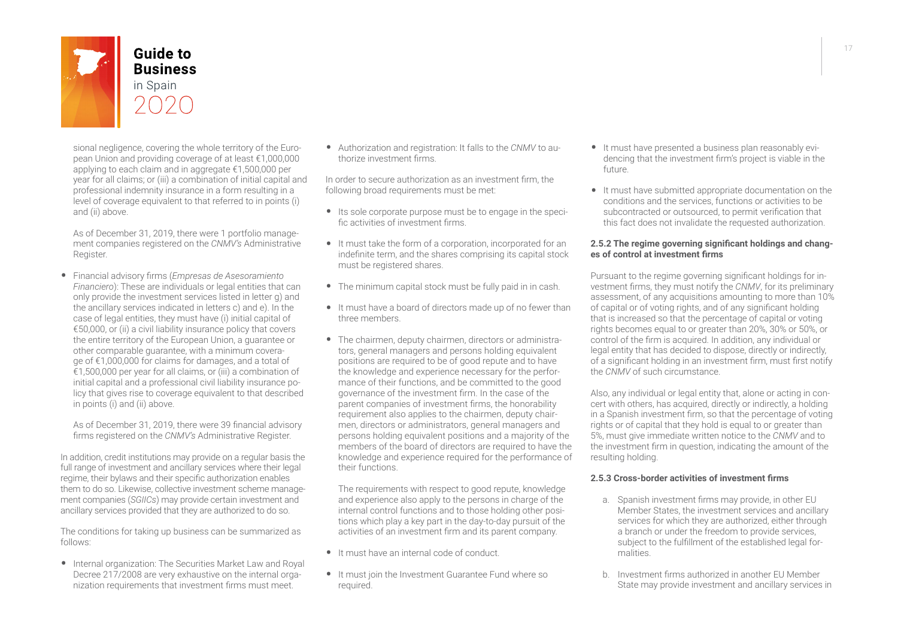

sional negligence, covering the whole territory of the European Union and providing coverage of at least €1,000,000 applying to each claim and in aggregate €1,500,000 per year for all claims; or (iii) a combination of initial capital and professional indemnity insurance in a form resulting in a level of coverage equivalent to that referred to in points (i) and (ii) above.

As of December 31, 2019, there were 1 portfolio management companies registered on the *CNMV's* Administrative Register.

• Financial advisory firms (*Empresas de Asesoramiento Financiero*): These are individuals or legal entities that can only provide the investment services listed in letter g) and the ancillary services indicated in letters c) and e). In the case of legal entities, they must have (i) initial capital of €50,000, or (ii) a civil liability insurance policy that covers the entire territory of the European Union, a guarantee or other comparable guarantee, with a minimum coverage of €1,000,000 for claims for damages, and a total of €1,500,000 per year for all claims, or (iii) a combination of initial capital and a professional civil liability insurance policy that gives rise to coverage equivalent to that described in points (i) and (ii) above.

As of December 31, 2019, there were 39 financial advisory firms registered on the *CNMV's* Administrative Register.

In addition, credit institutions may provide on a regular basis the full range of investment and ancillary services where their legal regime, their bylaws and their specific authorization enables them to do so. Likewise, collective investment scheme management companies (*SGIICs*) may provide certain investment and ancillary services provided that they are authorized to do so.

The conditions for taking up business can be summarized as follows:

• Internal organization: The Securities Market Law and Royal Decree 217/2008 are very exhaustive on the internal organization requirements that investment firms must meet.

• Authorization and registration: It falls to the *CNMV* to authorize investment firms.

In order to secure authorization as an investment firm, the following broad requirements must be met:

- Its sole corporate purpose must be to engage in the specific activities of investment firms.
- It must take the form of a corporation, incorporated for an indefinite term, and the shares comprising its capital stock must be registered shares.
- The minimum capital stock must be fully paid in in cash.
- It must have a board of directors made up of no fewer than three members.
- The chairmen, deputy chairmen, directors or administrators, general managers and persons holding equivalent positions are required to be of good repute and to have the knowledge and experience necessary for the performance of their functions, and be committed to the good governance of the investment firm. In the case of the parent companies of investment firms, the honorability requirement also applies to the chairmen, deputy chairmen, directors or administrators, general managers and persons holding equivalent positions and a majority of the members of the board of directors are required to have the knowledge and experience required for the performance of their functions.

The requirements with respect to good repute, knowledge and experience also apply to the persons in charge of the internal control functions and to those holding other positions which play a key part in the day-to-day pursuit of the activities of an investment firm and its parent company.

- It must have an internal code of conduct.
- It must join the Investment Guarantee Fund where so required.
- It must have presented a business plan reasonably evidencing that the investment firm's project is viable in the future.
- It must have submitted appropriate documentation on the conditions and the services, functions or activities to be subcontracted or outsourced, to permit verification that this fact does not invalidate the requested authorization.

#### **2.5.2 The regime governing significant holdings and changes of control at investment firms**

Pursuant to the regime governing significant holdings for investment firms, they must notify the *CNMV*, for its preliminary assessment, of any acquisitions amounting to more than 10% of capital or of voting rights, and of any significant holding that is increased so that the percentage of capital or voting rights becomes equal to or greater than 20%, 30% or 50%, or control of the firm is acquired. In addition, any individual or legal entity that has decided to dispose, directly or indirectly, of a significant holding in an investment firm, must first notify the *CNMV* of such circumstance.

Also, any individual or legal entity that, alone or acting in concert with others, has acquired, directly or indirectly, a holding in a Spanish investment firm, so that the percentage of voting rights or of capital that they hold is equal to or greater than 5%, must give immediate written notice to the *CNMV* and to the investment firm in question, indicating the amount of the resulting holding.

#### **2.5.3 Cross-border activities of investment firms**

- a. Spanish investment firms may provide, in other EU Member States, the investment services and ancillary services for which they are authorized, either through a branch or under the freedom to provide services, subject to the fulfillment of the established legal formalities.
- b. Investment firms authorized in another EU Member State may provide investment and ancillary services in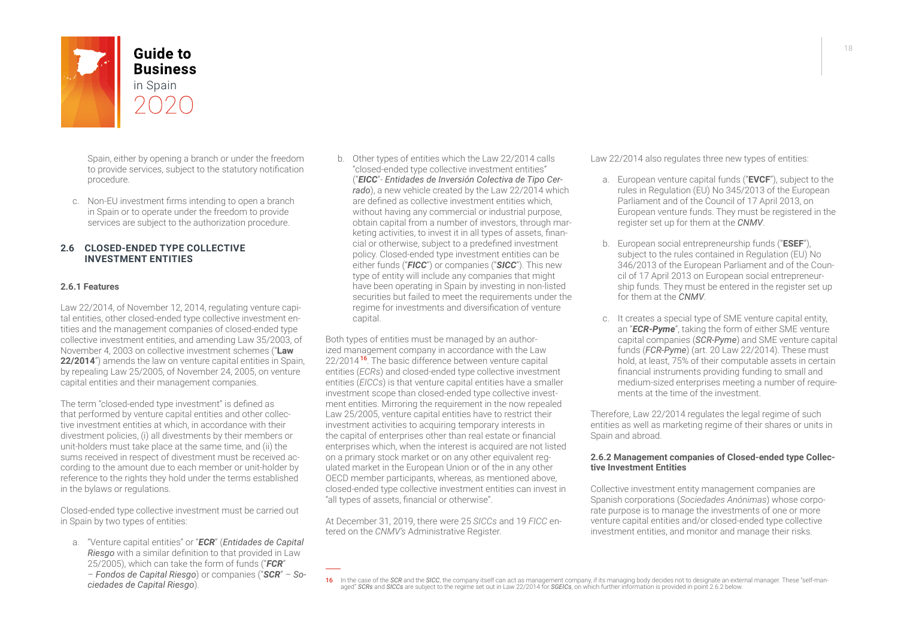

Spain, either by opening a branch or under the freedom to provide services, subject to the statutory notification procedure.

c. Non-EU investment firms intending to open a branch in Spain or to operate under the freedom to provide services are subject to the authorization procedure.

#### **2.6 CLOSED-ENDED TYPE COLLECTIVE INVESTMENT ENTITIES**

#### **2.6.1 Features**

Law 22/2014, of November 12, 2014, regulating venture capital entities, other closed-ended type collective investment entities and the management companies of closed-ended type collective investment entities, and amending Law 35/2003, of November 4, 2003 on collective investment schemes ("**Law 22/2014**") amends the law on venture capital entities in Spain, by repealing Law 25/2005, of November 24, 2005, on venture capital entities and their management companies.

The term "closed-ended type investment" is defined as that performed by venture capital entities and other collective investment entities at which, in accordance with their divestment policies, (i) all divestments by their members or unit-holders must take place at the same time, and (ii) the sums received in respect of divestment must be received according to the amount due to each member or unit-holder by reference to the rights they hold under the terms established in the bylaws or regulations.

Closed-ended type collective investment must be carried out in Spain by two types of entities:

a. "Venture capital entities" or "*ECR*" (*Entidades de Capital Riesgo* with a similar definition to that provided in Law 25/2005), which can take the form of funds ("*FCR*" – *Fondos de Capital Riesgo*) or companies ("*SCR*" – *Sociedades de Capital Riesgo*).

b. Other types of entities which the Law 22/2014 calls "closed-ended type collective investment entities" ("*EICC*"- *Entidades de Inversión Colectiva de Tipo Cerrado*), a new vehicle created by the Law 22/2014 which are defined as collective investment entities which, without having any commercial or industrial purpose, obtain capital from a number of investors, through marketing activities, to invest it in all types of assets, financial or otherwise, subject to a predefined investment policy. Closed-ended type investment entities can be either funds ("*FICC*") or companies ("*SICC*"). This new type of entity will include any companies that might have been operating in Spain by investing in non-listed securities but failed to meet the requirements under the regime for investments and diversification of venture capital.

Both types of entities must be managed by an authorized management company in accordance with the Law 22/2014<sup>16</sup>. The basic difference between venture capital entities (*ECRs*) and closed-ended type collective investment entities (*EICCs*) is that venture capital entities have a smaller investment scope than closed-ended type collective investment entities. Mirroring the requirement in the now repealed Law 25/2005, venture capital entities have to restrict their investment activities to acquiring temporary interests in the capital of enterprises other than real estate or financial enterprises which, when the interest is acquired are not listed on a primary stock market or on any other equivalent regulated market in the European Union or of the in any other OECD member participants, whereas, as mentioned above, closed-ended type collective investment entities can invest in "all types of assets, financial or otherwise".

At December 31, 2019, there were 25 *SICCs* and 19 *FICC* entered on the *CNMV's* Administrative Register.

Law 22/2014 also regulates three new types of entities:

- a. European venture capital funds ("**EVCF**"), subject to the rules in Regulation (EU) No 345/2013 of the European Parliament and of the Council of 17 April 2013, on European venture funds. They must be registered in the register set up for them at the *CNMV*.
- b. European social entrepreneurship funds ("**ESEF**"), subject to the rules contained in Regulation (EU) No 346/2013 of the European Parliament and of the Council of 17 April 2013 on European social entrepreneurship funds. They must be entered in the register set up for them at the *CNMV*.
- c. It creates a special type of SME venture capital entity, an "*ECR-Pyme*", taking the form of either SME venture capital companies (*SCR-Pyme*) and SME venture capital funds (*FCR-Pyme*) (art. 20 Law 22/2014). These must hold, at least, 75% of their computable assets in certain financial instruments providing funding to small and medium-sized enterprises meeting a number of requirements at the time of the investment.

Therefore, Law 22/2014 regulates the legal regime of such entities as well as marketing regime of their shares or units in Spain and abroad.

#### **2.6.2 Management companies of Closed-ended type Collective Investment Entities**

Collective investment entity management companies are Spanish corporations (*Sociedades Anónimas*) whose corporate purpose is to manage the investments of one or more venture capital entities and/or closed-ended type collective investment entities, and monitor and manage their risks.

In the case of the SCR and the SICC, the company itself can act as management company, if its managing body decides not to designate an external manager. These "self-man-<br>aged" SCRs and SICCs are subject to the regime set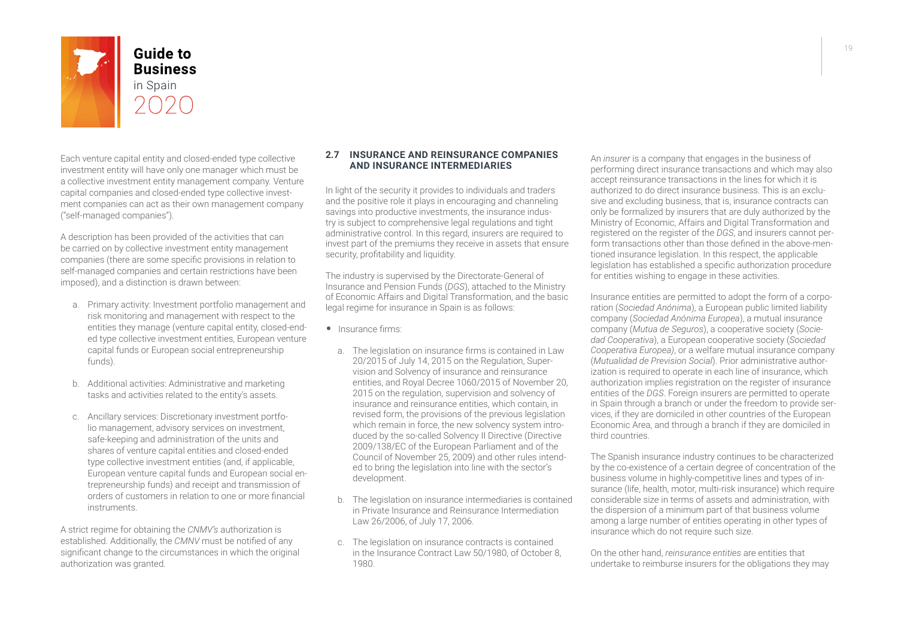

Each venture capital entity and closed-ended type collective investment entity will have only one manager which must be a collective investment entity management company. Venture capital companies and closed-ended type collective investment companies can act as their own management company ("self-managed companies").

A description has been provided of the activities that can be carried on by collective investment entity management companies (there are some specific provisions in relation to self-managed companies and certain restrictions have been imposed), and a distinction is drawn between:

- a. Primary activity: Investment portfolio management and risk monitoring and management with respect to the entities they manage (venture capital entity, closed-ended type collective investment entities, European venture capital funds or European social entrepreneurship funds).
- b. Additional activities: Administrative and marketing tasks and activities related to the entity's assets.
- c. Ancillary services: Discretionary investment portfolio management, advisory services on investment, safe-keeping and administration of the units and shares of venture capital entities and closed-ended type collective investment entities (and, if applicable, European venture capital funds and European social entrepreneurship funds) and receipt and transmission of orders of customers in relation to one or more financial instruments.

A strict regime for obtaining the *CNMV's* authorization is established. Additionally, the *CMNV* must be notified of any significant change to the circumstances in which the original authorization was granted.

#### **2.7 INSURANCE AND REINSURANCE COMPANIES AND INSURANCE INTERMEDIARIES**

In light of the security it provides to individuals and traders and the positive role it plays in encouraging and channeling savings into productive investments, the insurance industry is subject to comprehensive legal regulations and tight administrative control. In this regard, insurers are required to invest part of the premiums they receive in assets that ensure security, profitability and liquidity.

The industry is supervised by the Directorate-General of Insurance and Pension Funds (*DGS*), attached to the Ministry of Economic Affairs and Digital Transformation, and the basic legal regime for insurance in Spain is as follows:

- Insurance firms:
	- a. The legislation on insurance firms is contained in Law 20/2015 of July 14, 2015 on the Regulation, Supervision and Solvency of insurance and reinsurance entities, and Royal Decree 1060/2015 of November 20, 2015 on the regulation, supervision and solvency of insurance and reinsurance entities, which contain, in revised form, the provisions of the previous legislation which remain in force, the new solvency system introduced by the so-called Solvency II Directive (Directive 2009/138/EC of the European Parliament and of the Council of November 25, 2009) and other rules intended to bring the legislation into line with the sector's development.
	- b. The legislation on insurance intermediaries is contained in Private Insurance and Reinsurance Intermediation Law 26/2006, of July 17, 2006.
	- c. The legislation on insurance contracts is contained in the Insurance Contract Law 50/1980, of October 8, 1980.

An *insurer* is a company that engages in the business of performing direct insurance transactions and which may also accept reinsurance transactions in the lines for which it is authorized to do direct insurance business. This is an exclusive and excluding business, that is, insurance contracts can only be formalized by insurers that are duly authorized by the Ministry of Economic, Affairs and Digital Transformation and registered on the register of the *DGS*, and insurers cannot perform transactions other than those defined in the above-mentioned insurance legislation. In this respect, the applicable legislation has established a specific authorization procedure for entities wishing to engage in these activities.

Insurance entities are permitted to adopt the form of a corporation (*Sociedad Anónima*), a European public limited liability company (*Sociedad Anónima Europea*), a mutual insurance company (*Mutua de Seguros*), a cooperative society (*Sociedad Cooperativa*), a European cooperative society (*Sociedad Cooperativa Europea)*, or a welfare mutual insurance company (*Mutualidad de Prevision Social*). Prior administrative authorization is required to operate in each line of insurance, which authorization implies registration on the register of insurance entities of the *DGS*. Foreign insurers are permitted to operate in Spain through a branch or under the freedom to provide services, if they are domiciled in other countries of the European Economic Area, and through a branch if they are domiciled in third countries.

The Spanish insurance industry continues to be characterized by the co-existence of a certain degree of concentration of the business volume in highly-competitive lines and types of insurance (life, health, motor, multi-risk insurance) which require considerable size in terms of assets and administration, with the dispersion of a minimum part of that business volume among a large number of entities operating in other types of insurance which do not require such size.

On the other hand, *reinsurance entities* are entities that undertake to reimburse insurers for the obligations they may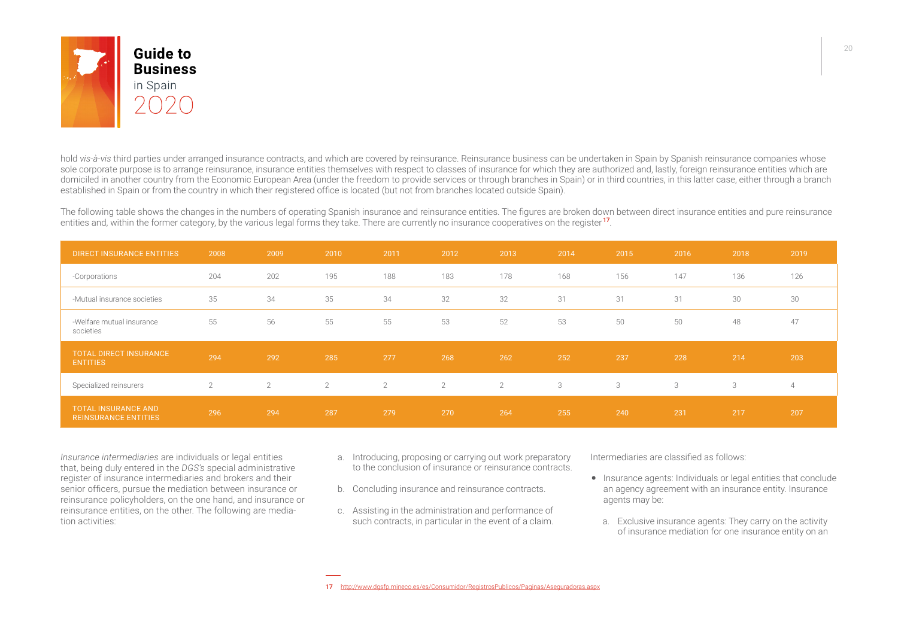

hold *vis-à-vis* third parties under arranged insurance contracts, and which are covered by reinsurance. Reinsurance business can be undertaken in Spain by Spanish reinsurance companies whose sole corporate purpose is to arrange reinsurance, insurance entities themselves with respect to classes of insurance for which they are authorized and, lastly, foreign reinsurance entities which are domiciled in another country from the Economic European Area (under the freedom to provide services or through branches in Spain) or in third countries, in this latter case, either through a branch established in Spain or from the country in which their registered office is located (but not from branches located outside Spain).

The following table shows the changes in the numbers of operating Spanish insurance and reinsurance entities. The figures are broken down between direct insurance entities and pure reinsurance entities and, within the former category, by the various legal forms they take. There are currently no insurance cooperatives on the register <sup>17</sup>.

| <b>DIRECT INSURANCE ENTITIES</b>                          | 2008           | 2009 | 2010           | 2011           | 2012           | 2013           | 2014 | 2015 | 2016 | 2018 | 2019           |
|-----------------------------------------------------------|----------------|------|----------------|----------------|----------------|----------------|------|------|------|------|----------------|
| -Corporations                                             | 204            | 202  | 195            | 188            | 183            | 178            | 168  | 156  | 147  | 136  | 126            |
| -Mutual insurance societies                               | 35             | 34   | 35             | 34             | 32             | 32             | 31   | 31   | 31   | 30   | 30             |
| -Welfare mutual insurance<br>societies                    | 55             | 56   | 55             | 55             | 53             | 52             | 53   | 50   | 50   | 48   | 47             |
| <b>TOTAL DIRECT INSURANCE</b><br><b>ENTITIES</b>          | 294            | 292  | 285            | 277            | 268            | 262            | 252  | 237  | 228  | 214  | 203            |
| Specialized reinsurers                                    | $\overline{2}$ | 2    | $\overline{2}$ | $\overline{2}$ | $\overline{2}$ | $\overline{2}$ | 3    | 3    | 3    | 3    | $\overline{4}$ |
| <b>TOTAL INSURANCE AND</b><br><b>REINSURANCE ENTITIES</b> | 296            | 294  | 287            | 279            | 270            | 264            | 255  | 240  | 231  | 217  | 207            |

*Insurance intermediaries* are individuals or legal entities that, being duly entered in the *DGS's* special administrative register of insurance intermediaries and brokers and their senior officers, pursue the mediation between insurance or reinsurance policyholders, on the one hand, and insurance or reinsurance entities, on the other. The following are mediation activities:

- a. Introducing, proposing or carrying out work preparatory to the conclusion of insurance or reinsurance contracts.
- b. Concluding insurance and reinsurance contracts.
- c. Assisting in the administration and performance of such contracts, in particular in the event of a claim.

Intermediaries are classified as follows:

- Insurance agents: Individuals or legal entities that conclude an agency agreement with an insurance entity. Insurance agents may be:
	- a. Exclusive insurance agents: They carry on the activity of insurance mediation for one insurance entity on an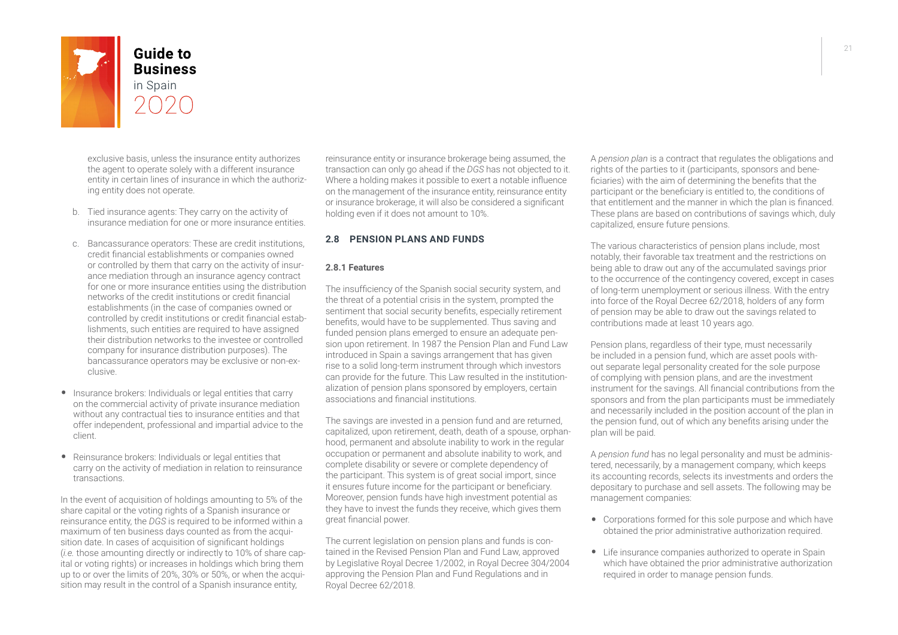

**Business** 

exclusive basis, unless the insurance entity authorizes the agent to operate solely with a different insurance entity in certain lines of insurance in which the authorizing entity does not operate.

- b. Tied insurance agents: They carry on the activity of insurance mediation for one or more insurance entities.
- c. Bancassurance operators: These are credit institutions, credit financial establishments or companies owned or controlled by them that carry on the activity of insurance mediation through an insurance agency contract for one or more insurance entities using the distribution networks of the credit institutions or credit financial establishments (in the case of companies owned or controlled by credit institutions or credit financial establishments, such entities are required to have assigned their distribution networks to the investee or controlled company for insurance distribution purposes). The bancassurance operators may be exclusive or non-exclusive.
- Insurance brokers: Individuals or legal entities that carry on the commercial activity of private insurance mediation without any contractual ties to insurance entities and that offer independent, professional and impartial advice to the client.
- Reinsurance brokers: Individuals or legal entities that carry on the activity of mediation in relation to reinsurance transactions.

In the event of acquisition of holdings amounting to 5% of the share capital or the voting rights of a Spanish insurance or reinsurance entity, the *DGS* is required to be informed within a maximum of ten business days counted as from the acquisition date. In cases of acquisition of significant holdings (*i.e.* those amounting directly or indirectly to 10% of share capital or voting rights) or increases in holdings which bring them up to or over the limits of 20%, 30% or 50%, or when the acquisition may result in the control of a Spanish insurance entity,

reinsurance entity or insurance brokerage being assumed, the transaction can only go ahead if the *DGS* has not objected to it. Where a holding makes it possible to exert a notable influence on the management of the insurance entity, reinsurance entity or insurance brokerage, it will also be considered a significant holding even if it does not amount to 10%.

#### **2.8 PENSION PLANS AND FUNDS**

#### **2.8.1 Features**

The insufficiency of the Spanish social security system, and the threat of a potential crisis in the system, prompted the sentiment that social security benefits, especially retirement benefits, would have to be supplemented. Thus saving and funded pension plans emerged to ensure an adequate pension upon retirement. In 1987 the Pension Plan and Fund Law introduced in Spain a savings arrangement that has given rise to a solid long-term instrument through which investors can provide for the future. This Law resulted in the institutionalization of pension plans sponsored by employers, certain associations and financial institutions.

The savings are invested in a pension fund and are returned, capitalized, upon retirement, death, death of a spouse, orphanhood, permanent and absolute inability to work in the regular occupation or permanent and absolute inability to work, and complete disability or severe or complete dependency of the participant. This system is of great social import, since it ensures future income for the participant or beneficiary. Moreover, pension funds have high investment potential as they have to invest the funds they receive, which gives them great financial power.

The current legislation on pension plans and funds is contained in the Revised Pension Plan and Fund Law, approved by Legislative Royal Decree 1/2002, in Royal Decree 304/2004 approving the Pension Plan and Fund Regulations and in Royal Decree 62/2018.

A *pension plan* is a contract that regulates the obligations and rights of the parties to it (participants, sponsors and beneficiaries) with the aim of determining the benefits that the participant or the beneficiary is entitled to, the conditions of that entitlement and the manner in which the plan is financed. These plans are based on contributions of savings which, duly capitalized, ensure future pensions.

The various characteristics of pension plans include, most notably, their favorable tax treatment and the restrictions on being able to draw out any of the accumulated savings prior to the occurrence of the contingency covered, except in cases of long-term unemployment or serious illness. With the entry into force of the Royal Decree 62/2018, holders of any form of pension may be able to draw out the savings related to contributions made at least 10 years ago.

Pension plans, regardless of their type, must necessarily be included in a pension fund, which are asset pools without separate legal personality created for the sole purpose of complying with pension plans, and are the investment instrument for the savings. All financial contributions from the sponsors and from the plan participants must be immediately and necessarily included in the position account of the plan in the pension fund, out of which any benefits arising under the plan will be paid.

A *pension fund* has no legal personality and must be administered, necessarily, by a management company, which keeps its accounting records, selects its investments and orders the depositary to purchase and sell assets. The following may be management companies:

- Corporations formed for this sole purpose and which have obtained the prior administrative authorization required.
- Life insurance companies authorized to operate in Spain which have obtained the prior administrative authorization required in order to manage pension funds.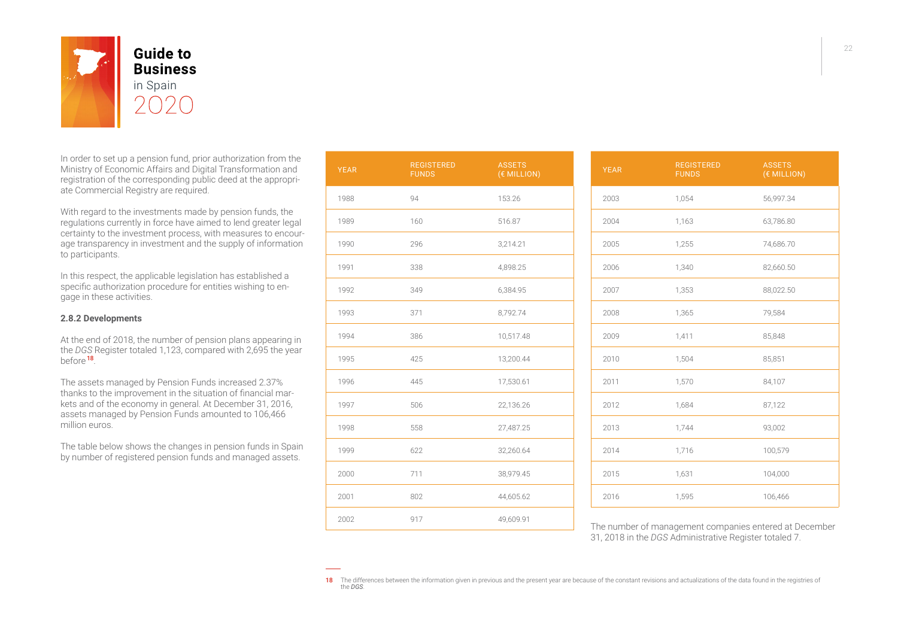

In order to set up a pension fund, prior authorization from the Ministry of Economic Affairs and Digital Transformation and registration of the corresponding public deed at the appropriate Commercial Registry are required.

With regard to the investments made by pension funds, the regulations currently in force have aimed to lend greater legal certainty to the investment process, with measures to encourage transparency in investment and the supply of information to participants.

In this respect, the applicable legislation has established a specific authorization procedure for entities wishing to engage in these activities.

#### **2.8.2 Developments**

At the end of 2018, the number of pension plans appearing in the *DGS* Register totaled 1,123, compared with 2,695 the year before <sup>18</sup>.

The assets managed by Pension Funds increased 2.37% thanks to the improvement in the situation of financial markets and of the economy in general. At December 31, 2016, assets managed by Pension Funds amounted to 106,466 million euros.

The table below shows the changes in pension funds in Spain by number of registered pension funds and managed assets.

| <b>YEAR</b> | <b>REGISTERED</b><br><b>FUNDS</b> | <b>ASSETS</b><br>(€ MILLION) |
|-------------|-----------------------------------|------------------------------|
| 1988        | 94                                | 153.26                       |
| 1989        | 160                               | 516.87                       |
| 1990        | 296                               | 3,214.21                     |
| 1991        | 338                               | 4,898.25                     |
| 1992        | 349                               | 6,384.95                     |
| 1993        | 371                               | 8,792.74                     |
| 1994        | 386                               | 10,517.48                    |
| 1995        | 425                               | 13,200.44                    |
| 1996        | 445                               | 17,530.61                    |
| 1997        | 506                               | 22,136.26                    |
| 1998        | 558                               | 27,487.25                    |
| 1999        | 622                               | 32,260.64                    |
| 2000        | 711                               | 38,979.45                    |
| 2001        | 802                               | 44,605.62                    |
| 2002        | 917                               | 49,609.91                    |

| <b>YEAR</b> | <b>REGISTERED</b><br><b>FUNDS</b> | <b>ASSETS</b><br>(€ MILLION) |
|-------------|-----------------------------------|------------------------------|
| 2003        | 1,054                             | 56,997.34                    |
| 2004        | 1,163                             | 63,786.80                    |
| 2005        | 1,255                             | 74,686.70                    |
| 2006        | 1,340                             | 82,660.50                    |
| 2007        | 1,353                             | 88,022.50                    |
| 2008        | 1,365                             | 79,584                       |
| 2009        | 1,411                             | 85,848                       |
| 2010        | 1,504                             | 85,851                       |
| 2011        | 1,570                             | 84,107                       |
| 2012        | 1,684                             | 87,122                       |
| 2013        | 1,744                             | 93,002                       |
| 2014        | 1,716                             | 100,579                      |
| 2015        | 1,631                             | 104,000                      |
| 2016        | 1,595                             | 106,466                      |

The number of management companies entered at December 31, 2018 in the *DGS* Administrative Register totaled 7.

<sup>18</sup> The differences between the information given in previous and the present year are because of the constant revisions and actualizations of the data found in the registries of the *DGS*.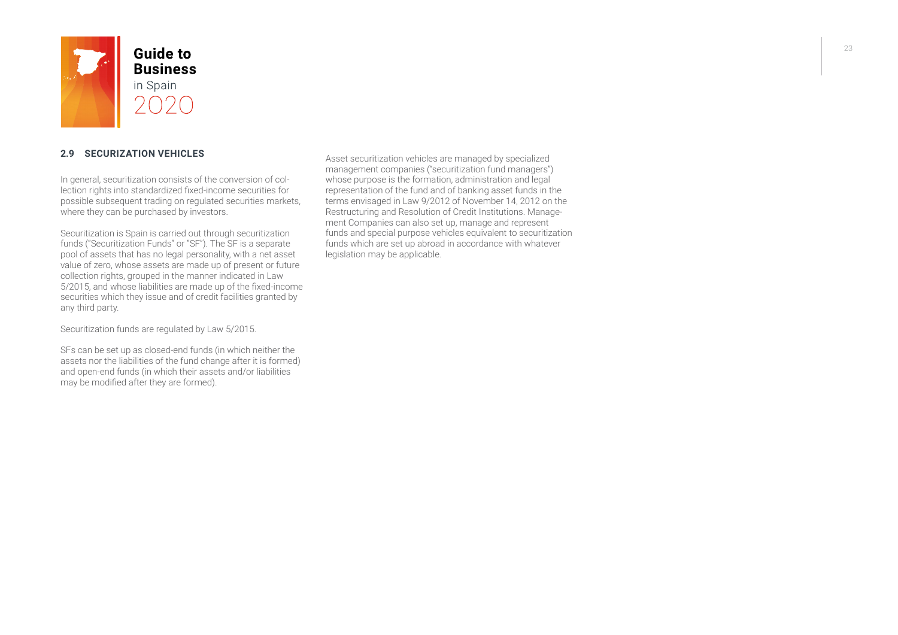

#### **2.9 SECURIZATION VEHICLES**

In general, securitization consists of the conversion of collection rights into standardized fixed-income securities for possible subsequent trading on regulated securities markets, where they can be purchased by investors.

Securitization is Spain is carried out through securitization funds ("Securitization Funds" or "SF"). The SF is a separate pool of assets that has no legal personality, with a net asset value of zero, whose assets are made up of present or future collection rights, grouped in the manner indicated in Law 5/2015, and whose liabilities are made up of the fixed-income securities which they issue and of credit facilities granted by any third party.

Securitization funds are regulated by Law 5/2015.

SFs can be set up as closed-end funds (in which neither the assets nor the liabilities of the fund change after it is formed) and open-end funds (in which their assets and/or liabilities may be modified after they are formed).

Asset securitization vehicles are managed by specialized management companies ("securitization fund managers") whose purpose is the formation, administration and legal representation of the fund and of banking asset funds in the terms envisaged in Law 9/2012 of November 14, 2012 on the Restructuring and Resolution of Credit Institutions. Management Companies can also set up, manage and represent funds and special purpose vehicles equivalent to securitization funds which are set up abroad in accordance with whatever legislation may be applicable.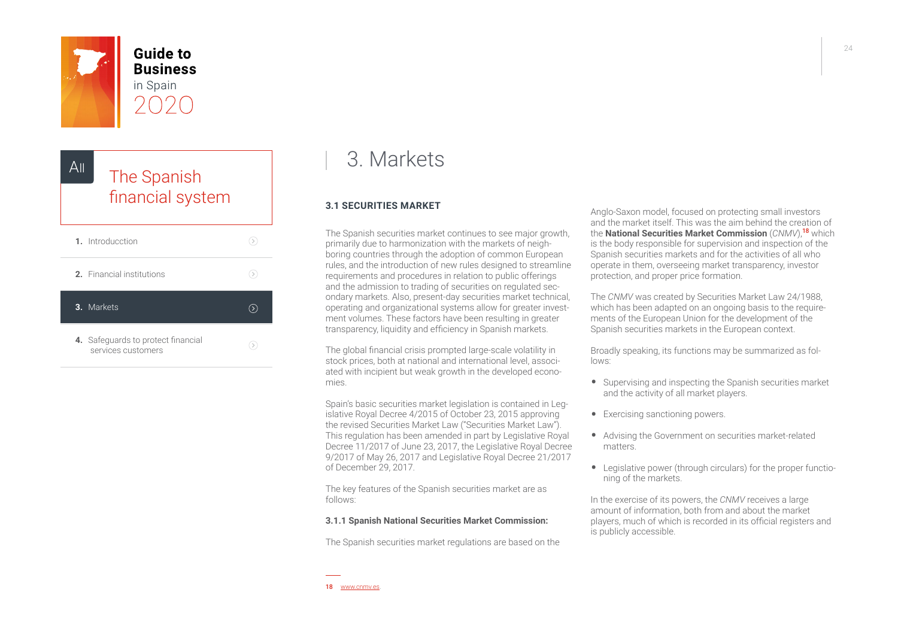<span id="page-23-0"></span>

**Guide to Business** in Spain



## 3. Markets

### **3.1 SECURITIES MARKET**

The Spanish securities market continues to see major growth, primarily due to harmonization with the markets of neighboring countries through the adoption of common European rules, and the introduction of new rules designed to streamline requirements and procedures in relation to public offerings and the admission to trading of securities on regulated secondary markets. Also, present-day securities market technical, operating and organizational systems allow for greater investment volumes. These factors have been resulting in greater transparency, liquidity and efficiency in Spanish markets.

The global financial crisis prompted large-scale volatility in stock prices, both at national and international level, associated with incipient but weak growth in the developed economies.

Spain's basic securities market legislation is contained in Legislative Royal Decree 4/2015 of October 23, 2015 approving the revised Securities Market Law ("Securities Market Law"). This regulation has been amended in part by Legislative Royal Decree 11/2017 of June 23, 2017, the Legislative Royal Decree 9/2017 of May 26, 2017 and Legislative Royal Decree 21/2017 of December 29, 2017.

The key features of the Spanish securities market are as follows:

#### **3.1.1 Spanish National Securities Market Commission:**

The Spanish securities market regulations are based on the

Anglo-Saxon model, focused on protecting small investors and the market itself. This was the aim behind the creation of the **National Securities Market Commission** (*CNMV*),<sup>18</sup> which is the body responsible for supervision and inspection of the Spanish securities markets and for the activities of all who operate in them, overseeing market transparency, investor protection, and proper price formation.

The *CNMV* was created by Securities Market Law 24/1988, which has been adapted on an ongoing basis to the requirements of the European Union for the development of the Spanish securities markets in the European context.

Broadly speaking, its functions may be summarized as follows:

- Supervising and inspecting the Spanish securities market and the activity of all market players.
- Exercising sanctioning powers.
- Advising the Government on securities market-related matters.
- Legislative power (through circulars) for the proper functioning of the markets.

In the exercise of its powers, the *CNMV* receives a large amount of information, both from and about the market players, much of which is recorded in its official registers and is publicly accessible.

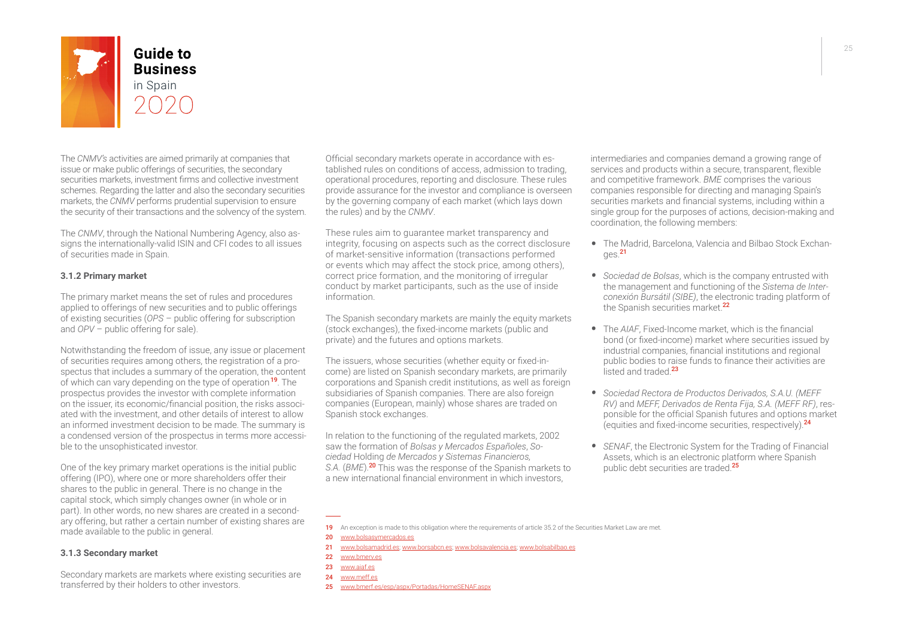

**Business** 

The *CNMV's* activities are aimed primarily at companies that issue or make public offerings of securities, the secondary securities markets, investment firms and collective investment schemes. Regarding the latter and also the secondary securities markets, the *CNMV* performs prudential supervision to ensure the security of their transactions and the solvency of the system.

The *CNMV*, through the National Numbering Agency, also assigns the internationally-valid ISIN and CFI codes to all issues of securities made in Spain.

#### **3.1.2 Primary market**

The primary market means the set of rules and procedures applied to offerings of new securities and to public offerings of existing securities (*OPS* – public offering for subscription and *OPV* – public offering for sale).

Notwithstanding the freedom of issue, any issue or placement of securities requires among others, the registration of a prospectus that includes a summary of the operation, the content of which can vary depending on the type of operation<sup>19</sup>. The prospectus provides the investor with complete information on the issuer, its economic/financial position, the risks associated with the investment, and other details of interest to allow an informed investment decision to be made. The summary is a condensed version of the prospectus in terms more accessible to the unsophisticated investor.

One of the key primary market operations is the initial public offering (IPO), where one or more shareholders offer their shares to the public in general. There is no change in the capital stock, which simply changes owner (in whole or in part). In other words, no new shares are created in a secondary offering, but rather a certain number of existing shares are made available to the public in general.

#### **3.1.3 Secondary market**

Secondary markets are markets where existing securities are transferred by their holders to other investors.

Official secondary markets operate in accordance with established rules on conditions of access, admission to trading, operational procedures, reporting and disclosure. These rules provide assurance for the investor and compliance is overseen by the governing company of each market (which lays down the rules) and by the *CNMV*.

These rules aim to guarantee market transparency and integrity, focusing on aspects such as the correct disclosure of market-sensitive information (transactions performed or events which may affect the stock price, among others), correct price formation, and the monitoring of irregular conduct by market participants, such as the use of inside information.

The Spanish secondary markets are mainly the equity markets (stock exchanges), the fixed-income markets (public and private) and the futures and options markets.

The issuers, whose securities (whether equity or fixed-income) are listed on Spanish secondary markets, are primarily corporations and Spanish credit institutions, as well as foreign subsidiaries of Spanish companies. There are also foreign companies (European, mainly) whose shares are traded on Spanish stock exchanges.

In relation to the functioning of the regulated markets, 2002 saw the formation of *Bolsas y Mercados Españoles*, *Sociedad* Holding *de Mercados y Sistemas Financieros, S.A.* (*BME*).<sup>20</sup> This was the response of the Spanish markets to a new international financial environment in which investors,

intermediaries and companies demand a growing range of services and products within a secure, transparent, flexible and competitive framework. *BME* comprises the various companies responsible for directing and managing Spain's securities markets and financial systems, including within a single group for the purposes of actions, decision-making and coordination, the following members:

- The Madrid, Barcelona, Valencia and Bilbao Stock Exchan $n e<sub>S</sub>$  21
- *• Sociedad de Bolsas*, which is the company entrusted with the management and functioning of the *Sistema de Interconexión Bursátil (SIBE)*, the electronic trading platform of the Spanish securities market.<sup>22</sup>
- The *AIAF*, Fixed-Income market, which is the financial bond (or fixed-income) market where securities issued by industrial companies, financial institutions and regional public bodies to raise funds to finance their activities are listed and traded 23
- *• Sociedad Rectora de Productos Derivados, S.A.U. (MEFF RV)* and *MEFF, Derivados de Renta Fija, S.A. (MEFF RF)*, responsible for the official Spanish futures and options market (equities and fixed-income securities, respectively).<sup>24</sup>
- *• SENAF*, the Electronic System for the Trading of Financial Assets, which is an electronic platform where Spanish public debt securities are traded.<sup>25</sup>

21 [www.bolsamadrid.es](https://www.bolsamadrid.es/); [www.borsabcn.es;](https://www.borsabcn.es/) [www.bolsavalencia.es](https://www.bolsavalencia.es/); [www.bolsabilbao.es](https://www.bolsabilbao.es/)

- 24 [www.meff.](https://www.meff.es/)es
- 25 [www.bmerf.es/esp/aspx/Portadas/HomeSENAF.aspx](https://www.bmerf.es/esp/aspx/Portadas/HomeSENAF.aspx)

<sup>19</sup> An exception is made to this obligation where the requirements of article 35.2 of the Securities Market Law are met.

<sup>20</sup> [www.bolsasymercados.es](https://www.bolsasymercados.es/)

<sup>22</sup> [www.bmerv.](https://www.bmerv.es/)es

<sup>23</sup> [www.aiaf.es](http://www.aiaf.es/)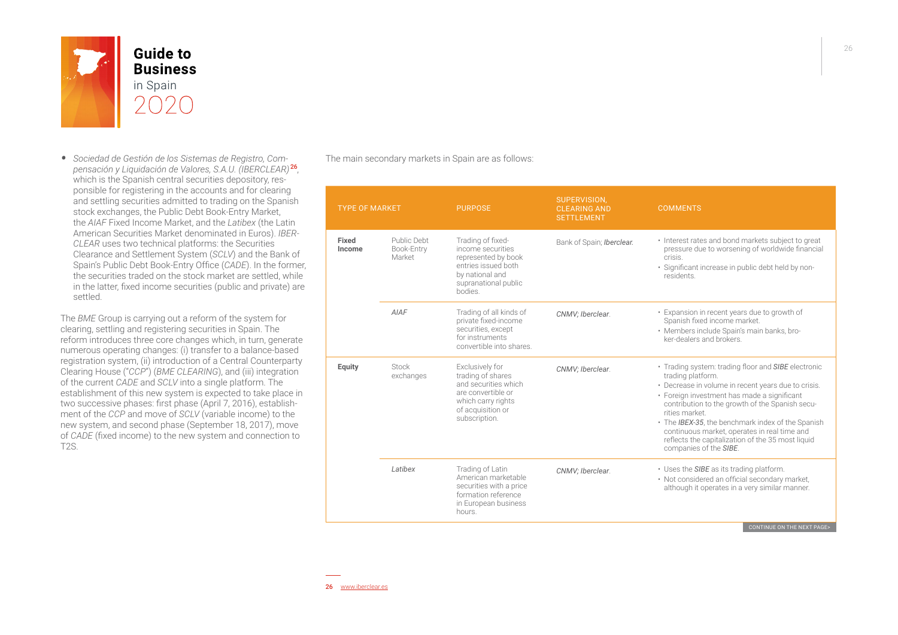

- **Business**
- *• Sociedad de Gestión de los Sistemas de Registro, Compensación y Liquidación de Valores, S.A.U. (IBERCLEAR)* <sup>26</sup>, which is the Spanish central securities depository, responsible for registering in the accounts and for clearing and settling securities admitted to trading on the Spanish stock exchanges, the Public Debt Book-Entry Market, the *AIAF* Fixed Income Market, and the *Latibex* (the Latin American Securities Market denominated in Euros). *IBER-CLEAR* uses two technical platforms: the Securities Clearance and Settlement System (*SCLV*) and the Bank of Spain's Public Debt Book-Entry Office (*CADE*). In the former, the securities traded on the stock market are settled, while in the latter, fixed income securities (public and private) are settled.

The *BME* Group is carrying out a reform of the system for clearing, settling and registering securities in Spain. The reform introduces three core changes which, in turn, generate numerous operating changes: (i) transfer to a balance-based registration system, (ii) introduction of a Central Counterparty Clearing House ("*CCP*") (*BME CLEARING*), and (iii) integration of the current *CADE* and *SCLV* into a single platform. The establishment of this new system is expected to take place in two successive phases: first phase (April 7, 2016), establishment of the *CCP* and move of *SCLV* (variable income) to the new system, and second phase (September 18, 2017), move of *CADE* (fixed income) to the new system and connection to T2S.

The main secondary markets in Spain are as follows:

| <b>TYPE OF MARKET</b> |                                                                                                                                                                      | <b>PURPOSE</b>                                                                                                                             | SUPERVISION,<br><b>CLEARING AND</b><br><b>SETTLEMENT</b>                                                                                                                                                                                                                                                                                                                                                                               | <b>COMMENTS</b>                                                                                                                                                                     |
|-----------------------|----------------------------------------------------------------------------------------------------------------------------------------------------------------------|--------------------------------------------------------------------------------------------------------------------------------------------|----------------------------------------------------------------------------------------------------------------------------------------------------------------------------------------------------------------------------------------------------------------------------------------------------------------------------------------------------------------------------------------------------------------------------------------|-------------------------------------------------------------------------------------------------------------------------------------------------------------------------------------|
| Fixed<br>Income       | Public Debt<br>Book-Entry<br>Market                                                                                                                                  | Trading of fixed-<br>income securities<br>represented by book<br>entries issued both<br>by national and<br>supranational public<br>bodies. | Bank of Spain; Iberclear.                                                                                                                                                                                                                                                                                                                                                                                                              | • Interest rates and bond markets subject to great<br>pressure due to worsening of worldwide financial<br>crisis<br>· Significant increase in public debt held by non-<br>residents |
|                       | <b>AIAF</b>                                                                                                                                                          | Trading of all kinds of<br>private fixed-income<br>securities, except<br>for instruments<br>convertible into shares.                       | CNMV; Iberclear.                                                                                                                                                                                                                                                                                                                                                                                                                       | • Expansion in recent years due to growth of<br>Spanish fixed income market.<br>· Members include Spain's main banks, bro-<br>ker-dealers and brokers                               |
| Equity                | Exclusively for<br>Stock<br>trading of shares<br>exchanges<br>and securities which<br>are convertible or<br>which carry rights<br>of acquisition or<br>subscription. | CNMV; Iberclear.                                                                                                                           | · Trading system: trading floor and SIBE electronic<br>trading platform.<br>• Decrease in volume in recent years due to crisis.<br>· Foreign investment has made a significant<br>contribution to the growth of the Spanish secu-<br>rities market<br>• The IBEX-35, the benchmark index of the Spanish<br>continuous market, operates in real time and<br>reflects the capitalization of the 35 most liquid<br>companies of the SIBE. |                                                                                                                                                                                     |
|                       | Latibex                                                                                                                                                              | Trading of Latin<br>American marketable<br>securities with a price<br>formation reference<br>in European business<br>hours.                | CNMV; Iberclear.                                                                                                                                                                                                                                                                                                                                                                                                                       | • Uses the SIBE as its trading platform.<br>• Not considered an official secondary market,<br>although it operates in a very similar manner.<br>CONTINUE ON THE NEW B               |

CONTINUE ON THE NEXT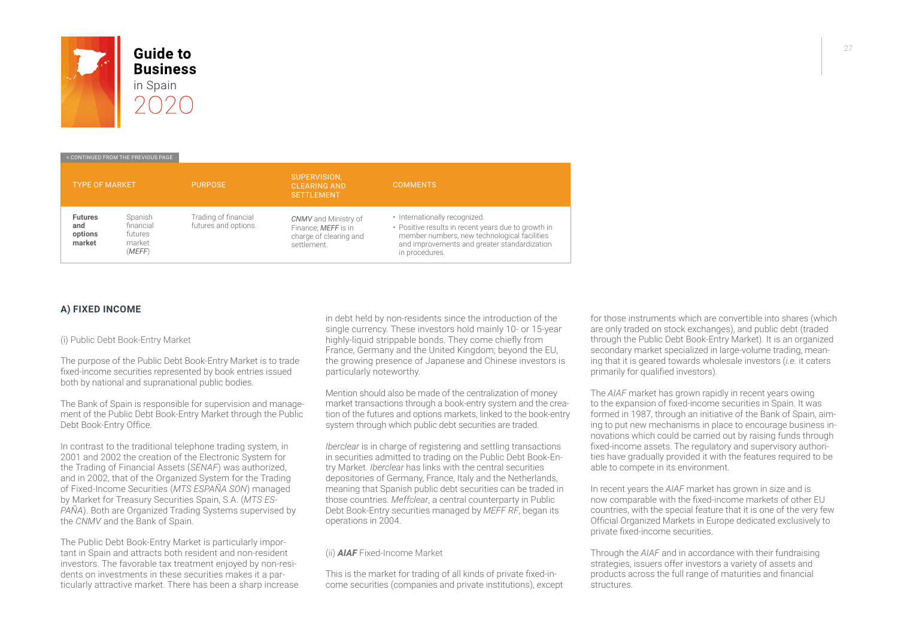

# **Business**

#### < CONTINUED FROM THE PREVIOUS PAGE

| <b>TYPE OF MARKET</b>                      |                                                     | <b>PURPOSE</b>                               | SUPERVISION.<br><b>CLEARING AND</b><br><b>SETTLEMENT</b>                                    | <b>COMMENTS</b>                                                                                                                                                                                        |
|--------------------------------------------|-----------------------------------------------------|----------------------------------------------|---------------------------------------------------------------------------------------------|--------------------------------------------------------------------------------------------------------------------------------------------------------------------------------------------------------|
| <b>Futures</b><br>and<br>options<br>market | Spanish<br>financial<br>futures<br>market<br>(MEFF) | Trading of financial<br>futures and options. | <b>CNMV</b> and Ministry of<br>Finance: MEFF is in<br>charge of clearing and<br>settlement. | · Internationally recognized.<br>• Positive results in recent years due to growth in<br>member numbers, new technological facilities<br>and improvements and greater standardization<br>in procedures. |

### **A) FIXED INCOME**

(i) Public Debt Book-Entry Market

The purpose of the Public Debt Book-Entry Market is to trade fixed-income securities represented by book entries issued both by national and supranational public bodies.

The Bank of Spain is responsible for supervision and management of the Public Debt Book-Entry Market through the Public Debt Book-Entry Office.

In contrast to the traditional telephone trading system, in 2001 and 2002 the creation of the Electronic System for the Trading of Financial Assets (*SENAF*) was authorized, and in 2002, that of the Organized System for the Trading of Fixed-Income Securities (*MTS ESPAÑA SON*) managed by Market for Treasury Securities Spain, S.A. (*MTS ES-PAÑA*). Both are Organized Trading Systems supervised by the *CNMV* and the Bank of Spain.

The Public Debt Book-Entry Market is particularly important in Spain and attracts both resident and non-resident investors. The favorable tax treatment enjoyed by non-residents on investments in these securities makes it a particularly attractive market. There has been a sharp increase

in debt held by non-residents since the introduction of the single currency. These investors hold mainly 10- or 15-year highly-liquid strippable bonds. They come chiefly from France, Germany and the United Kingdom; beyond the EU, the growing presence of Japanese and Chinese investors is particularly noteworthy.

Mention should also be made of the centralization of money market transactions through a book-entry system and the creation of the futures and options markets, linked to the book-entry system through which public debt securities are traded.

*Iberclear* is in charge of registering and settling transactions in securities admitted to trading on the Public Debt Book-Entry Market. *Iberclear* has links with the central securities depositories of Germany, France, Italy and the Netherlands, meaning that Spanish public debt securities can be traded in those countries. *Meffclear*, a central counterparty in Public Debt Book-Entry securities managed by *MEFF RF*, began its operations in 2004.

#### (ii) *AIAF* Fixed-Income Market

This is the market for trading of all kinds of private fixed-income securities (companies and private institutions), except for those instruments which are convertible into shares (which are only traded on stock exchanges), and public debt (traded through the Public Debt Book-Entry Market). It is an organized secondary market specialized in large-volume trading, meaning that it is geared towards wholesale investors (*i.e.* it caters primarily for qualified investors).

The *AIAF* market has grown rapidly in recent years owing to the expansion of fixed-income securities in Spain. It was formed in 1987, through an initiative of the Bank of Spain, aiming to put new mechanisms in place to encourage business innovations which could be carried out by raising funds through fixed-income assets. The regulatory and supervisory authorities have gradually provided it with the features required to be able to compete in its environment.

In recent years the *AIAF* market has grown in size and is now comparable with the fixed-income markets of other EU countries, with the special feature that it is one of the very few Official Organized Markets in Europe dedicated exclusively to private fixed-income securities.

Through the *AIAF* and in accordance with their fundraising strategies, issuers offer investors a variety of assets and products across the full range of maturities and financial structures.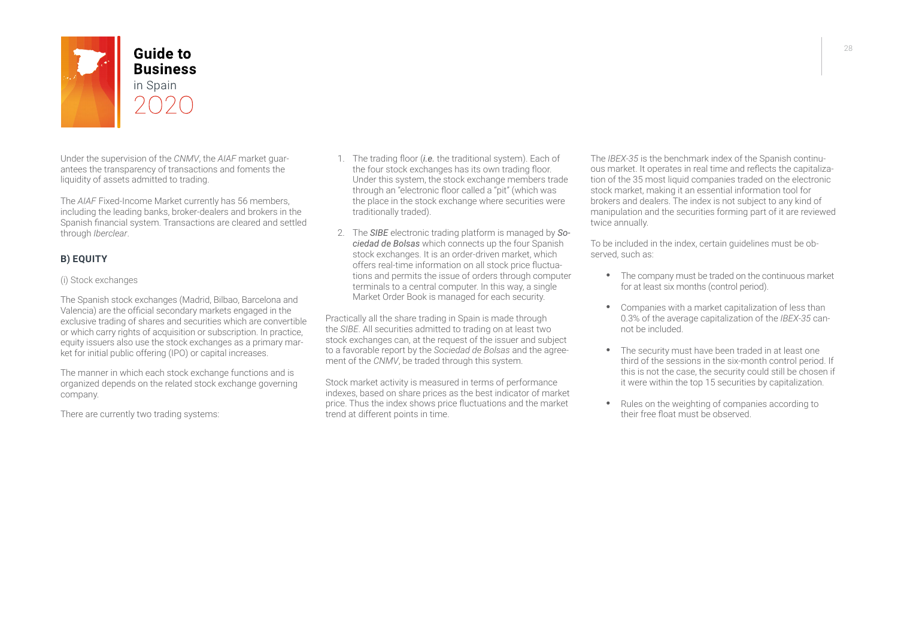

Under the supervision of the *CNMV*, the *AIAF* market guarantees the transparency of transactions and foments the liquidity of assets admitted to trading.

The *AIAF* Fixed-Income Market currently has 56 members, including the leading banks, broker-dealers and brokers in the Spanish financial system. Transactions are cleared and settled through *Iberclear*.

## **B) EQUITY**

#### (i) Stock exchanges

The Spanish stock exchanges (Madrid, Bilbao, Barcelona and Valencia) are the official secondary markets engaged in the exclusive trading of shares and securities which are convertible or which carry rights of acquisition or subscription. In practice, equity issuers also use the stock exchanges as a primary market for initial public offering (IPO) or capital increases.

The manner in which each stock exchange functions and is organized depends on the related stock exchange governing company.

There are currently two trading systems:

- 1. The trading floor (*i.e.* the traditional system). Each of the four stock exchanges has its own trading floor. Under this system, the stock exchange members trade through an "electronic floor called a "pit" (which was the place in the stock exchange where securities were traditionally traded).
- 2. The *SIBE* electronic trading platform is managed by *Sociedad de Bolsas* which connects up the four Spanish stock exchanges. It is an order-driven market, which offers real-time information on all stock price fluctuations and permits the issue of orders through computer terminals to a central computer. In this way, a single Market Order Book is managed for each security.

Practically all the share trading in Spain is made through the *SIBE*. All securities admitted to trading on at least two stock exchanges can, at the request of the issuer and subject to a favorable report by the *Sociedad de Bolsas* and the agreement of the *CNMV*, be traded through this system.

Stock market activity is measured in terms of performance indexes, based on share prices as the best indicator of market price. Thus the index shows price fluctuations and the market trend at different points in time.

The *IBEX-35* is the benchmark index of the Spanish continuous market. It operates in real time and reflects the capitalization of the 35 most liquid companies traded on the electronic stock market, making it an essential information tool for brokers and dealers. The index is not subject to any kind of manipulation and the securities forming part of it are reviewed twice annually.

To be included in the index, certain guidelines must be observed, such as:

- The company must be traded on the continuous market for at least six months (control period).
- · Companies with a market capitalization of less than 0.3% of the average capitalization of the *IBEX-35* cannot be included.
- The security must have been traded in at least one third of the sessions in the six-month control period. If this is not the case, the security could still be chosen if it were within the top 15 securities by capitalization.
- · Rules on the weighting of companies according to their free float must be observed.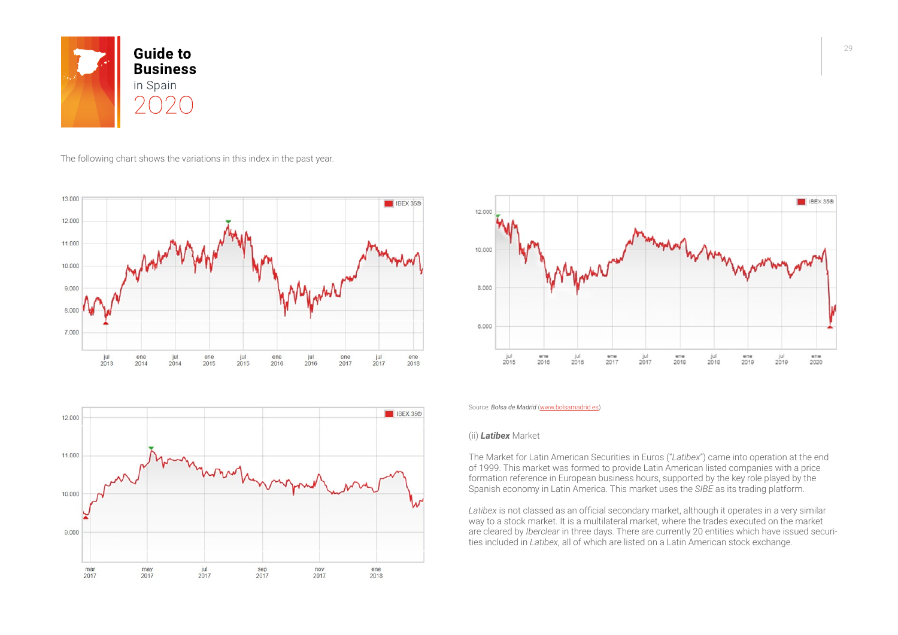

#### The following chart shows the variations in this index in the past year.







Source: *Bolsa de Madrid* [\(www.bolsamadrid.es](http://www.bolsamadrid.es/))

#### (ii) *Latibex* Market

The Market for Latin American Securities in Euros ("*Latibex*") came into operation at the end of 1999. This market was formed to provide Latin American listed companies with a price formation reference in European business hours, supported by the key role played by the Spanish economy in Latin America. This market uses the *SIBE* as its trading platform.

*Latibex* is not classed as an official secondary market, although it operates in a very similar way to a stock market. It is a multilateral market, where the trades executed on the market are cleared by *Iberclear* in three days. There are currently 20 entities which have issued securities included in *Latibex*, all of which are listed on a Latin American stock exchange.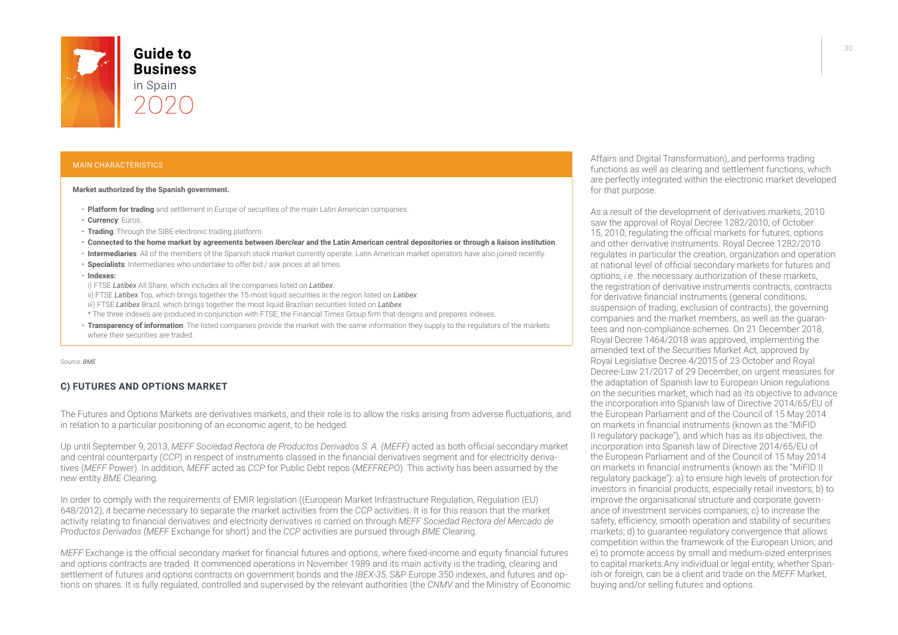

## **Business** in Spain

#### MAIN CHARACTERISTICS

#### **Market authorized by the Spanish government.**

- **Platform for trading** and settlement in Europe of securities of the main Latin American companies.
- **Currency**: Euros.
- **Trading**: Through the SIBE electronic trading platform.
- **Connected to the home market by agreements between** *Iberclear* **and the Latin American central depositories or through a liaison institution**.
- **Intermediaries**: All of the members of the Spanish stock market currently operate. Latin American market operators have also joined recently.
- **Specialists**: Intermediaries who undertake to offer bid / ask prices at all times.
- **Indexes:**
- i) FTSE *Latibex* All Share, which includes all the companies listed on *Latibex*.
- ii) FTSE *Latibex* Top, which brings together the 15 most liquid securities in the region listed on *Latibex*.
- iii) FTSE *Latibex* Brazil, which brings together the most liquid Brazilian securities listed on *Latibex*.
- \* The three indexes are produced in conjunction with FTSE, the Financial Times Group firm that designs and prepares indexes.
- **Transparency of information**: The listed companies provide the market with the same information they supply to the regulators of the markets where their securities are traded.

Source: *BME*

#### **C) FUTURES AND OPTIONS MARKET**

The Futures and Options Markets are derivatives markets, and their role is to allow the risks arising from adverse fluctuations, and in relation to a particular positioning of an economic agent, to be hedged.

Up until September 9, 2013, *MEFF Sociedad Rectora de Productos Derivados S. A. (MEFF)* acted as both official secondary market and central counterparty (*CCP*) in respect of instruments classed in the financial derivatives segment and for electricity derivatives (*MEFF* Power). In addition, *MEFF* acted as *CCP* for Public Debt repos (*MEFFREPO*). This activity has been assumed by the new entity *BME* Clearing.

In order to comply with the requirements of EMIR legislation ((European Market Infrastructure Regulation, Regulation (EU) 648/2012), it became necessary to separate the market activities from the *CCP* activities. It is for this reason that the market activity relating to financial derivatives and electricity derivatives is carried on through *MEFF Sociedad Rectora del Mercado de Productos Derivados* (*MEFF* Exchange for short) and the *CCP* activities are pursued through *BME* Clearing.

*MEFF* Exchange is the official secondary market for financial futures and options, where fixed-income and equity financial futures and options contracts are traded. It commenced operations in November 1989 and its main activity is the trading, clearing and settlement of futures and options contracts on government bonds and the *IBEX-35*, S&P Europe 350 indexes, and futures and options on shares. It is fully regulated, controlled and supervised by the relevant authorities (the *CNMV* and the Ministry of Economic Affairs and Digital Transformation), and performs trading functions as well as clearing and settlement functions, which are perfectly integrated within the electronic market developed for that purpose.

As a result of the development of derivatives markets, 2010 saw the approval of Royal Decree 1282/2010, of October 15, 2010, regulating the official markets for futures, options and other derivative instruments. Royal Decree 1282/2010 regulates in particular the creation, organization and operation at national level of official secondary markets for futures and options, *i.e.* the necessary authorization of these markets, the registration of derivative instruments contracts, contracts for derivative financial instruments (general conditions, suspension of trading, exclusion of contracts), the governing companies and the market members, as well as the guarantees and non-compliance schemes. On 21 December 2018, Royal Decree 1464/2018 was approved, implementing the amended text of the Securities Market Act, approved by Royal Legislative Decree 4/2015 of 23 October and Royal Decree-Law 21/2017 of 29 December, on urgent measures for the adaptation of Spanish law to European Union regulations on the securities market, which had as its objective to advance the incorporation into Spanish law of Directive 2014/65/EU of the European Parliament and of the Council of 15 May 2014 on markets in financial instruments (known as the "MiFID II regulatory package"), and which has as its objectives, the incorporation into Spanish law of Directive 2014/65/EU of the European Parliament and of the Council of 15 May 2014 on markets in financial instruments (known as the "MiFID II regulatory package"): a) to ensure high levels of protection for investors in financial products, especially retail investors; b) to improve the organisational structure and corporate governance of investment services companies; c) to increase the safety, efficiency, smooth operation and stability of securities markets; d) to guarantee regulatory convergence that allows competition within the framework of the European Union; and e) to promote access by small and medium-sized enterprises to capital markets.Any individual or legal entity, whether Spanish or foreign, can be a client and trade on the *MEFF* Market, buying and/or selling futures and options.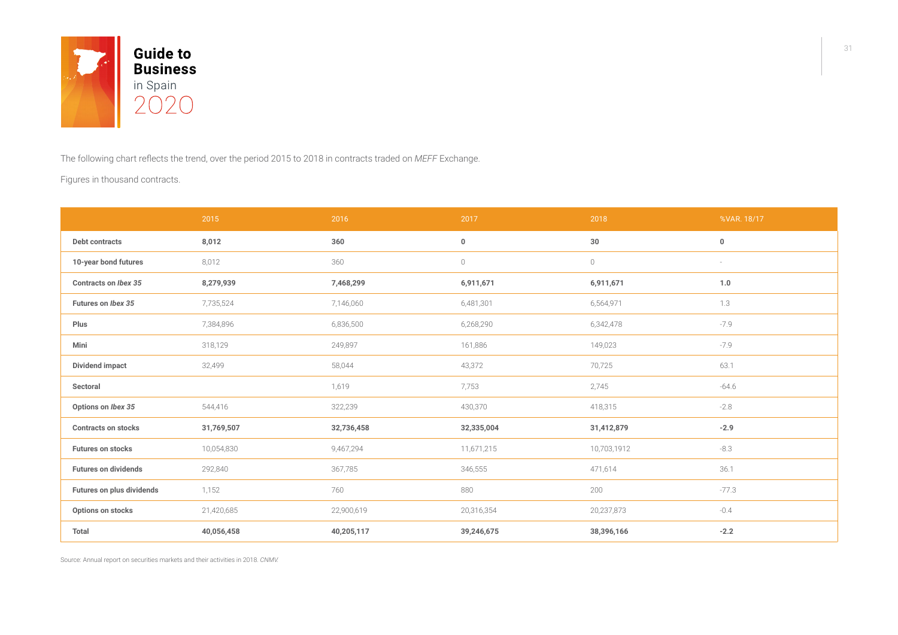

The following chart reflects the trend, over the period 2015 to 2018 in contracts traded on *MEFF* Exchange.

Figures in thousand contracts.

|                             | 2015       | 2016       | 2017           | 2018                | %VAR. 18/17 |
|-----------------------------|------------|------------|----------------|---------------------|-------------|
| Debt contracts              | 8,012      | 360        | $\bf{0}$       | 30                  | $\pmb{0}$   |
| 10-year bond futures        | 8,012      | 360        | $\circledcirc$ | $\circlearrowright$ | $\sim$      |
| Contracts on Ibex 35        | 8,279,939  | 7,468,299  | 6,911,671      | 6,911,671           | 1.0         |
| Futures on Ibex 35          | 7,735,524  | 7,146,060  | 6,481,301      | 6,564,971           | 1.3         |
| Plus                        | 7,384,896  | 6,836,500  | 6,268,290      | 6,342,478           | $-7.9$      |
| Mini                        | 318,129    | 249,897    | 161,886        | 149,023             | $-7.9$      |
| <b>Dividend impact</b>      | 32,499     | 58,044     | 43,372         | 70,725              | 63.1        |
| Sectoral                    |            | 1,619      | 7,753          | 2,745               | $-64.6$     |
| Options on Ibex 35          | 544,416    | 322,239    | 430,370        | 418,315             | $-2.8$      |
| <b>Contracts on stocks</b>  | 31,769,507 | 32,736,458 | 32,335,004     | 31,412,879          | $-2.9$      |
| Futures on stocks           | 10,054,830 | 9,467,294  | 11,671,215     | 10,703,1912         | $-8.3$      |
| <b>Futures on dividends</b> | 292,840    | 367,785    | 346,555        | 471,614             | 36.1        |
| Futures on plus dividends   | 1,152      | 760        | 880            | 200                 | $-77.3$     |
| Options on stocks           | 21,420,685 | 22,900,619 | 20,316,354     | 20,237,873          | $-0.4$      |
| Total                       | 40,056,458 | 40,205,117 | 39,246,675     | 38,396,166          | $-2.2$      |

Source: Annual report on securities markets and their activities in 2018. *CNMV.*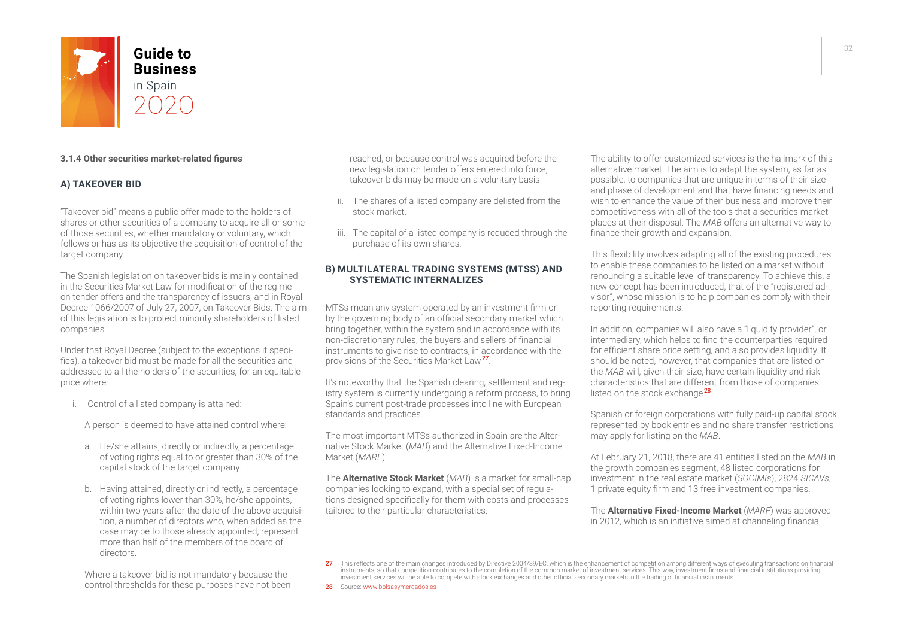

#### **3.1.4 Other securities market-related figures**

#### **A) TAKEOVER BID**

"Takeover bid" means a public offer made to the holders of shares or other securities of a company to acquire all or some of those securities, whether mandatory or voluntary, which follows or has as its objective the acquisition of control of the target company.

The Spanish legislation on takeover bids is mainly contained in the Securities Market Law for modification of the regime on tender offers and the transparency of issuers, and in Royal Decree 1066/2007 of July 27, 2007, on Takeover Bids. The aim of this legislation is to protect minority shareholders of listed companies.

Under that Royal Decree (subject to the exceptions it specifies), a takeover bid must be made for all the securities and addressed to all the holders of the securities, for an equitable price where:

i. Control of a listed company is attained:

A person is deemed to have attained control where:

- a. He/she attains, directly or indirectly, a percentage of voting rights equal to or greater than 30% of the capital stock of the target company.
- b. Having attained, directly or indirectly, a percentage of voting rights lower than 30%, he/she appoints, within two years after the date of the above acquisition, a number of directors who, when added as the case may be to those already appointed, represent more than half of the members of the board of directors.

Where a takeover bid is not mandatory because the control thresholds for these purposes have not been reached, or because control was acquired before the new legislation on tender offers entered into force, takeover bids may be made on a voluntary basis.

- ii. The shares of a listed company are delisted from the stock market.
- iii. The capital of a listed company is reduced through the purchase of its own shares.

#### **B) MULTILATERAL TRADING SYSTEMS (MTSS) AND SYSTEMATIC INTERNALIZES**

MTSs mean any system operated by an investment firm or by the governing body of an official secondary market which bring together, within the system and in accordance with its non-discretionary rules, the buyers and sellers of financial instruments to give rise to contracts, in accordance with the provisions of the Securities Market Law<sup>27</sup>.

It's noteworthy that the Spanish clearing, settlement and registry system is currently undergoing a reform process, to bring Spain's current post-trade processes into line with European standards and practices.

The most important MTSs authorized in Spain are the Alternative Stock Market (*MAB*) and the Alternative Fixed-Income Market (*MARF*).

The **Alternative Stock Market** (*MAB*) is a market for small-cap companies looking to expand, with a special set of regulations designed specifically for them with costs and processes tailored to their particular characteristics.

The ability to offer customized services is the hallmark of this alternative market. The aim is to adapt the system, as far as possible, to companies that are unique in terms of their size and phase of development and that have financing needs and wish to enhance the value of their business and improve their competitiveness with all of the tools that a securities market places at their disposal. The *MAB* offers an alternative way to finance their growth and expansion.

This flexibility involves adapting all of the existing procedures to enable these companies to be listed on a market without renouncing a suitable level of transparency. To achieve this, a new concept has been introduced, that of the "registered advisor", whose mission is to help companies comply with their reporting requirements.

In addition, companies will also have a "liquidity provider", or intermediary, which helps to find the counterparties required for efficient share price setting, and also provides liquidity. It should be noted, however, that companies that are listed on the *MAB* will, given their size, have certain liquidity and risk characteristics that are different from those of companies listed on the stock exchange<sup>28</sup>.

Spanish or foreign corporations with fully paid-up capital stock represented by book entries and no share transfer restrictions may apply for listing on the *MAB*.

At February 21, 2018, there are 41 entities listed on the *MAB* in the growth companies segment, 48 listed corporations for investment in the real estate market (*SOCIMIs*), 2824 *SICAVs*, 1 private equity firm and 13 free investment companies.

The **Alternative Fixed-Income Market** (*MARF*) was approved in 2012, which is an initiative aimed at channeling financial

28 Source: [www.bolsasymercados.es](https://www.bolsasymercados.es/)

<sup>27</sup> This reflects one of the main changes introduced by Directive 2004/39/EC, which is the enhancement of competition among different ways of executing transactions on financial instruments, so that competition contributes to the completion of the common market of investment services. This way, investment firms and financial institutions providing investment services will be able to compete with stock exchanges and other official secondary markets in the trading of financial instruments.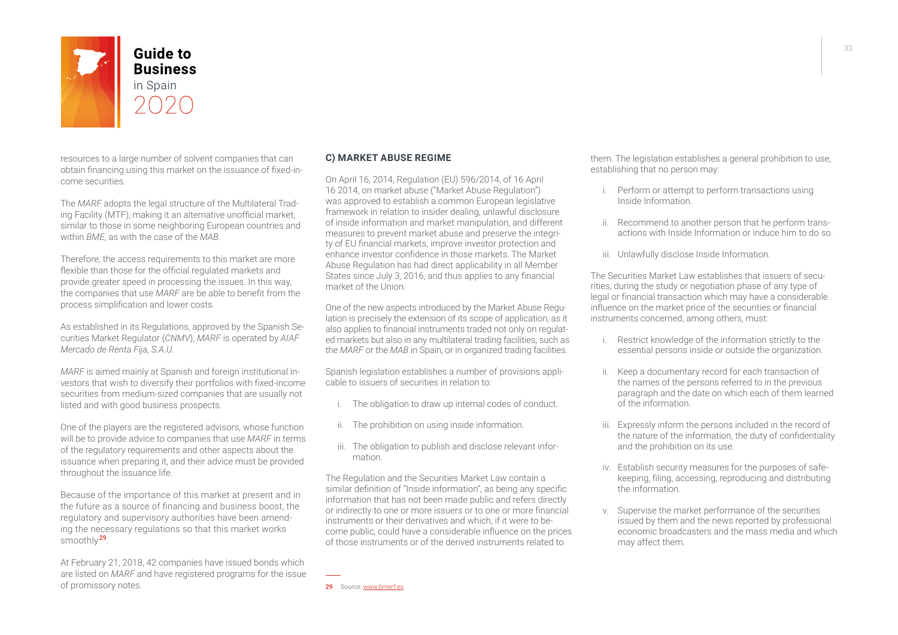

resources to a large number of solvent companies that can obtain financing using this market on the issuance of fixed-income securities.

The *MARF* adopts the legal structure of the Multilateral Trading Facility (MTF), making it an alternative unofficial market, similar to those in some neighboring European countries and within *BME*, as with the case of the *MAB*.

Therefore, the access requirements to this market are more flexible than those for the official regulated markets and provide greater speed in processing the issues. In this way, the companies that use *MARF* are be able to benefit from the process simplification and lower costs.

As established in its Regulations, approved by the Spanish Securities Market Regulator (*CNMV*), *MARF* is operated by *AIAF Mercado de Renta Fija, S.A.U.*

*MARF* is aimed mainly at Spanish and foreign institutional investors that wish to diversify their portfolios with fixed-income securities from medium-sized companies that are usually not listed and with good business prospects.

One of the players are the registered advisors, whose function will be to provide advice to companies that use *MARF* in terms of the regulatory requirements and other aspects about the issuance when preparing it, and their advice must be provided throughout the issuance life.

Because of the importance of this market at present and in the future as a source of financing and business boost, the regulatory and supervisory authorities have been amending the necessary regulations so that this market works smoothly <sup>29</sup>.

At February 21, 2018, 42 companies have issued bonds which are listed on *MARF* and have registered programs for the issue of promissory notes.

#### **C) MARKET ABUSE REGIME**

On April 16, 2014, Regulation (EU) 596/2014, of 16 April 16 2014, on market abuse ("Market Abuse Regulation") was approved to establish a common European legislative framework in relation to insider dealing, unlawful disclosure of inside information and market manipulation, and different measures to prevent market abuse and preserve the integrity of EU financial markets, improve investor protection and enhance investor confidence in those markets. The Market Abuse Regulation has had direct applicability in all Member States since July 3, 2016, and thus applies to any financial market of the Union.

One of the new aspects introduced by the Market Abuse Regulation is precisely the extension of its scope of application, as it also applies to financial instruments traded not only on regulated markets but also in any multilateral trading facilities, such as the *MARF* or the *MAB* in Spain, or in organized trading facilities.

Spanish legislation establishes a number of provisions applicable to issuers of securities in relation to:

- i. The obligation to draw up internal codes of conduct.
- ii. The prohibition on using inside information.
- iii. The obligation to publish and disclose relevant information.

The Regulation and the Securities Market Law contain a similar definition of "Inside information", as being any specific information that has not been made public and refers directly or indirectly to one or more issuers or to one or more financial instruments or their derivatives and which, if it were to become public, could have a considerable influence on the prices of those instruments or of the derived instruments related to

them. The legislation establishes a general prohibition to use, establishing that no person may:

- i. Perform or attempt to perform transactions using Inside Information.
- ii. Recommend to another person that he perform transactions with Inside Information or induce him to do so.
- iii. Unlawfully disclose Inside Information.

The Securities Market Law establishes that issuers of securities, during the study or negotiation phase of any type of legal or financial transaction which may have a considerable influence on the market price of the securities or financial instruments concerned, among others, must:

- i. Restrict knowledge of the information strictly to the essential persons inside or outside the organization.
- ii. Keep a documentary record for each transaction of the names of the persons referred to in the previous paragraph and the date on which each of them learned of the information.
- iii. Expressly inform the persons included in the record of the nature of the information, the duty of confidentiality and the prohibition on its use.
- iv. Establish security measures for the purposes of safekeeping, filing, accessing, reproducing and distributing the information.
- v. Supervise the market performance of the securities issued by them and the news reported by professional economic broadcasters and the mass media and which may affect them.

29 Source: [www.bmerf.es](https://www.bmerf.es/)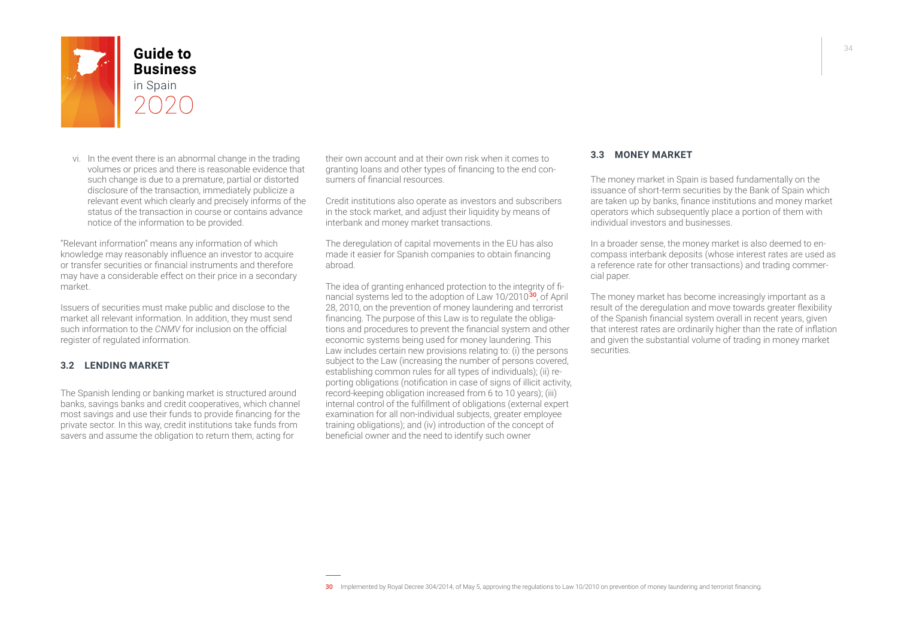

vi. In the event there is an abnormal change in the trading volumes or prices and there is reasonable evidence that such change is due to a premature, partial or distorted disclosure of the transaction, immediately publicize a relevant event which clearly and precisely informs of the status of the transaction in course or contains advance notice of the information to be provided.

"Relevant information" means any information of which knowledge may reasonably influence an investor to acquire or transfer securities or financial instruments and therefore may have a considerable effect on their price in a secondary market.

Issuers of securities must make public and disclose to the market all relevant information. In addition, they must send such information to the *CNMV* for inclusion on the official register of regulated information.

#### **3.2 LENDING MARKET**

The Spanish lending or banking market is structured around banks, savings banks and credit cooperatives, which channel most savings and use their funds to provide financing for the private sector. In this way, credit institutions take funds from savers and assume the obligation to return them, acting for

their own account and at their own risk when it comes to granting loans and other types of financing to the end consumers of financial resources.

Credit institutions also operate as investors and subscribers in the stock market, and adjust their liquidity by means of interbank and money market transactions.

The deregulation of capital movements in the EU has also made it easier for Spanish companies to obtain financing abroad.

The idea of granting enhanced protection to the integrity of financial systems led to the adoption of Law 10/2010<sup>30</sup>, of April 28, 2010, on the prevention of money laundering and terrorist financing. The purpose of this Law is to regulate the obligations and procedures to prevent the financial system and other economic systems being used for money laundering. This Law includes certain new provisions relating to: (i) the persons subject to the Law (increasing the number of persons covered, establishing common rules for all types of individuals); (ii) reporting obligations (notification in case of signs of illicit activity, record-keeping obligation increased from 6 to 10 years); (iii) internal control of the fulfillment of obligations (external expert examination for all non-individual subjects, greater employee training obligations); and (iv) introduction of the concept of beneficial owner and the need to identify such owner

#### **3.3 MONEY MARKET**

The money market in Spain is based fundamentally on the issuance of short-term securities by the Bank of Spain which are taken up by banks, finance institutions and money market operators which subsequently place a portion of them with individual investors and businesses.

In a broader sense, the money market is also deemed to encompass interbank deposits (whose interest rates are used as a reference rate for other transactions) and trading commercial paper.

The money market has become increasingly important as a result of the deregulation and move towards greater flexibility of the Spanish financial system overall in recent years, given that interest rates are ordinarily higher than the rate of inflation and given the substantial volume of trading in money market securities.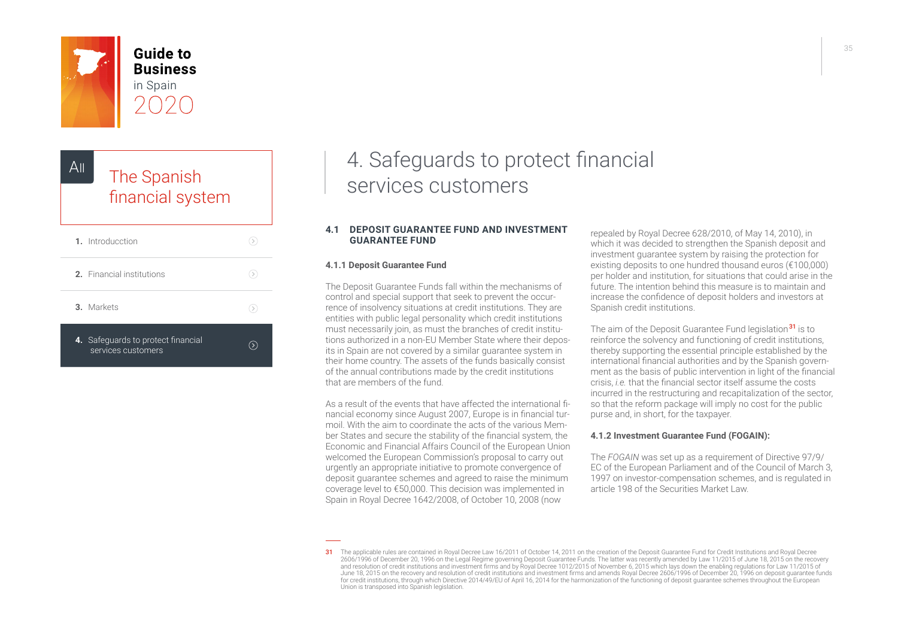<span id="page-34-0"></span>

**Guide to Business** in Spain

## The Spanish [financial system](#page-0-0) AII

| 1. Introducction                                         |  |
|----------------------------------------------------------|--|
| 2. Financial institutions                                |  |
| 3. Markets                                               |  |
| 4. Safeguards to protect financial<br>services customers |  |

## 4. Safeguards to protect financial services customers

#### **4.1 DEPOSIT GUARANTEE FUND AND INVESTMENT GUARANTEE FUND**

#### **4.1.1 Deposit Guarantee Fund**

The Deposit Guarantee Funds fall within the mechanisms of control and special support that seek to prevent the occurrence of insolvency situations at credit institutions. They are entities with public legal personality which credit institutions must necessarily join, as must the branches of credit institutions authorized in a non-EU Member State where their deposits in Spain are not covered by a similar guarantee system in their home country. The assets of the funds basically consist of the annual contributions made by the credit institutions that are members of the fund.

As a result of the events that have affected the international financial economy since August 2007, Europe is in financial turmoil. With the aim to coordinate the acts of the various Member States and secure the stability of the financial system, the Economic and Financial Affairs Council of the European Union welcomed the European Commission's proposal to carry out urgently an appropriate initiative to promote convergence of deposit guarantee schemes and agreed to raise the minimum coverage level to €50,000. This decision was implemented in Spain in Royal Decree 1642/2008, of October 10, 2008 (now

repealed by Royal Decree 628/2010, of May 14, 2010), in which it was decided to strengthen the Spanish deposit and investment guarantee system by raising the protection for existing deposits to one hundred thousand euros (€100,000) per holder and institution, for situations that could arise in the future. The intention behind this measure is to maintain and increase the confidence of deposit holders and investors at Spanish credit institutions.

The aim of the Deposit Guarantee Fund legislation<sup>31</sup> is to reinforce the solvency and functioning of credit institutions, thereby supporting the essential principle established by the international financial authorities and by the Spanish government as the basis of public intervention in light of the financial crisis, *i.e.* that the financial sector itself assume the costs incurred in the restructuring and recapitalization of the sector, so that the reform package will imply no cost for the public purse and, in short, for the taxpayer.

#### **4.1.2 Investment Guarantee Fund (FOGAIN):**

The *FOGAIN* was set up as a requirement of Directive 97/9/ EC of the European Parliament and of the Council of March 3, 1997 on investor-compensation schemes, and is regulated in article 198 of the Securities Market Law.

<sup>31</sup> The applicable rules are contained in Royal Decree Law 16/2011 of October 14, 2011 on the creation of the Deposit Guarantee Fund for Credit Institutions and Royal Decree 2606/1996 of December 20, 1996 on the Legal Regime governing Deposit Guarantee Funds. The latter was recently amended by Law 11/2015 of June 18, 2015 on the recovery<br>and resolution of credit institutions and investment fir June 18, 2015 on the recovery and resolution of credit institutions and investment firms and amends Royal Decree 2606/1996 of December 20, 1996 on deposit guarantee funds for credit institutions, through which Directive 2014/49/EU of April 16, 2014 for the harmonization of the functioning of deposit guarantee schemes throughout the European Union is transposed into Spanish legislation.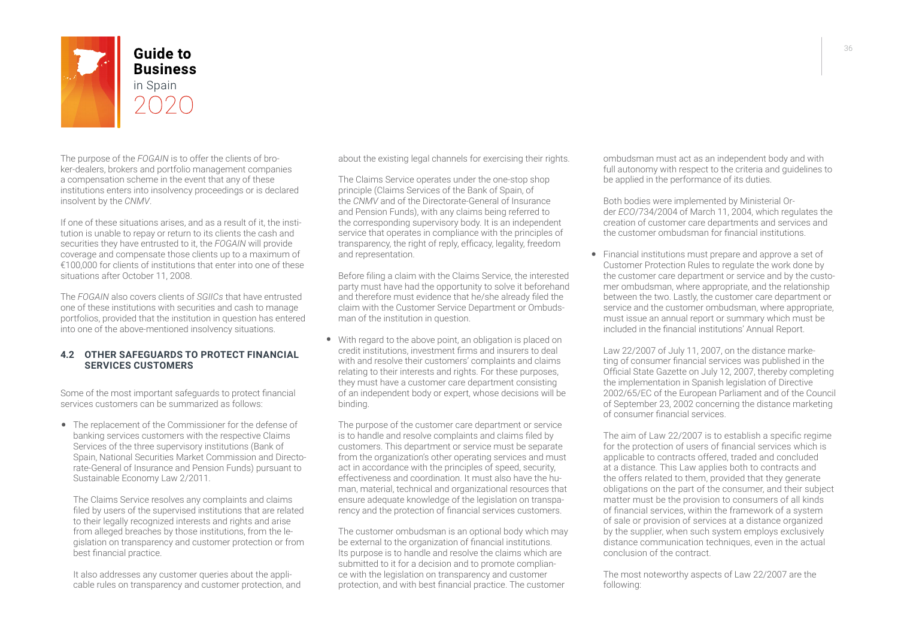

**Business** 

The purpose of the *FOGAIN* is to offer the clients of broker-dealers, brokers and portfolio management companies a compensation scheme in the event that any of these institutions enters into insolvency proceedings or is declared insolvent by the *CNMV*.

If one of these situations arises, and as a result of it, the institution is unable to repay or return to its clients the cash and securities they have entrusted to it, the *FOGAIN* will provide coverage and compensate those clients up to a maximum of €100,000 for clients of institutions that enter into one of these situations after October 11, 2008.

The *FOGAIN* also covers clients of *SGIICs* that have entrusted one of these institutions with securities and cash to manage portfolios, provided that the institution in question has entered into one of the above-mentioned insolvency situations.

#### **4.2 OTHER SAFEGUARDS TO PROTECT FINANCIAL SERVICES CUSTOMERS**

Some of the most important safeguards to protect financial services customers can be summarized as follows:

• The replacement of the Commissioner for the defense of banking services customers with the respective Claims Services of the three supervisory institutions (Bank of Spain, National Securities Market Commission and Directorate-General of Insurance and Pension Funds) pursuant to Sustainable Economy Law 2/2011.

The Claims Service resolves any complaints and claims filed by users of the supervised institutions that are related to their legally recognized interests and rights and arise from alleged breaches by those institutions, from the legislation on transparency and customer protection or from best financial practice.

It also addresses any customer queries about the applicable rules on transparency and customer protection, and about the existing legal channels for exercising their rights.

The Claims Service operates under the one-stop shop principle (Claims Services of the Bank of Spain, of the *CNMV* and of the Directorate-General of Insurance and Pension Funds), with any claims being referred to the corresponding supervisory body. It is an independent service that operates in compliance with the principles of transparency, the right of reply, efficacy, legality, freedom and representation.

Before filing a claim with the Claims Service, the interested party must have had the opportunity to solve it beforehand and therefore must evidence that he/she already filed the claim with the Customer Service Department or Ombudsman of the institution in question.

• With regard to the above point, an obligation is placed on credit institutions, investment firms and insurers to deal with and resolve their customers' complaints and claims relating to their interests and rights. For these purposes, they must have a customer care department consisting of an independent body or expert, whose decisions will be binding.

The purpose of the customer care department or service is to handle and resolve complaints and claims filed by customers. This department or service must be separate from the organization's other operating services and must act in accordance with the principles of speed, security, effectiveness and coordination. It must also have the human, material, technical and organizational resources that ensure adequate knowledge of the legislation on transparency and the protection of financial services customers.

The customer ombudsman is an optional body which may be external to the organization of financial institutions. Its purpose is to handle and resolve the claims which are submitted to it for a decision and to promote compliance with the legislation on transparency and customer protection, and with best financial practice. The customer

ombudsman must act as an independent body and with full autonomy with respect to the criteria and guidelines to be applied in the performance of its duties.

Both bodies were implemented by Ministerial Order *ECO*/734/2004 of March 11, 2004, which regulates the creation of customer care departments and services and the customer ombudsman for financial institutions.

• Financial institutions must prepare and approve a set of Customer Protection Rules to regulate the work done by the customer care department or service and by the customer ombudsman, where appropriate, and the relationship between the two. Lastly, the customer care department or service and the customer ombudsman, where appropriate, must issue an annual report or summary which must be included in the financial institutions' Annual Report.

Law 22/2007 of July 11, 2007, on the distance marketing of consumer financial services was published in the Official State Gazette on July 12, 2007, thereby completing the implementation in Spanish legislation of Directive 2002/65/EC of the European Parliament and of the Council of September 23, 2002 concerning the distance marketing of consumer financial services.

The aim of Law 22/2007 is to establish a specific regime for the protection of users of financial services which is applicable to contracts offered, traded and concluded at a distance. This Law applies both to contracts and the offers related to them, provided that they generate obligations on the part of the consumer, and their subject matter must be the provision to consumers of all kinds of financial services, within the framework of a system of sale or provision of services at a distance organized by the supplier, when such system employs exclusively distance communication techniques, even in the actual conclusion of the contract.

The most noteworthy aspects of Law 22/2007 are the following: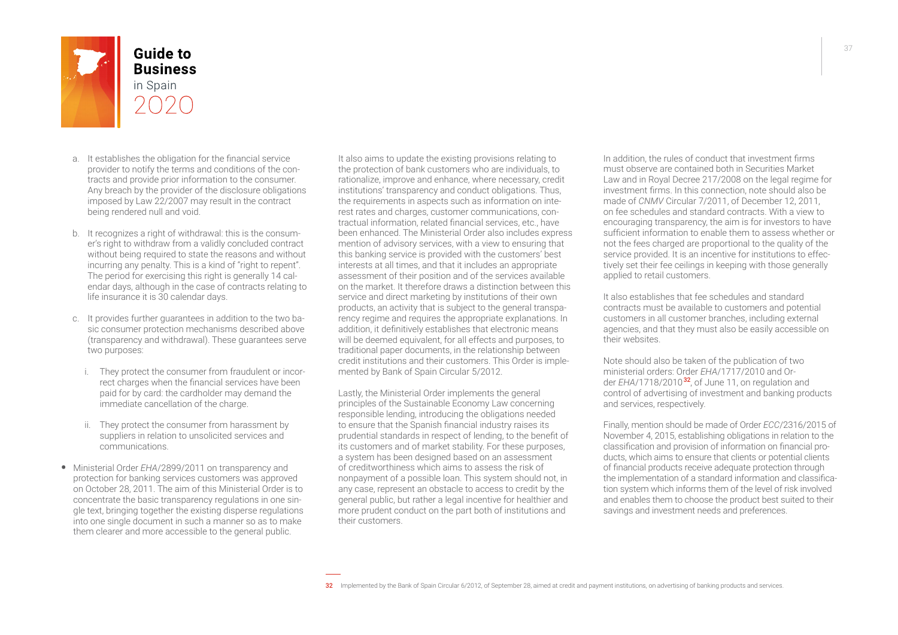

- 
- a. It establishes the obligation for the financial service provider to notify the terms and conditions of the contracts and provide prior information to the consumer. Any breach by the provider of the disclosure obligations imposed by Law 22/2007 may result in the contract being rendered null and void.
- b. It recognizes a right of withdrawal: this is the consumer's right to withdraw from a validly concluded contract without being required to state the reasons and without incurring any penalty. This is a kind of "right to repent". The period for exercising this right is generally 14 calendar days, although in the case of contracts relating to life insurance it is 30 calendar days.
- c. It provides further guarantees in addition to the two basic consumer protection mechanisms described above (transparency and withdrawal). These guarantees serve two purposes:
	- i. They protect the consumer from fraudulent or incorrect charges when the financial services have been paid for by card: the cardholder may demand the immediate cancellation of the charge.
	- ii. They protect the consumer from harassment by suppliers in relation to unsolicited services and communications.
- Ministerial Order *EHA*/2899/2011 on transparency and protection for banking services customers was approved on October 28, 2011. The aim of this Ministerial Order is to concentrate the basic transparency regulations in one single text, bringing together the existing disperse regulations into one single document in such a manner so as to make them clearer and more accessible to the general public.

It also aims to update the existing provisions relating to the protection of bank customers who are individuals, to rationalize, improve and enhance, where necessary, credit institutions' transparency and conduct obligations. Thus, the requirements in aspects such as information on interest rates and charges, customer communications, contractual information, related financial services, etc., have been enhanced. The Ministerial Order also includes express mention of advisory services, with a view to ensuring that this banking service is provided with the customers' best interests at all times, and that it includes an appropriate assessment of their position and of the services available on the market. It therefore draws a distinction between this service and direct marketing by institutions of their own products, an activity that is subject to the general transparency regime and requires the appropriate explanations. In addition, it definitively establishes that electronic means will be deemed equivalent, for all effects and purposes, to traditional paper documents, in the relationship between credit institutions and their customers. This Order is implemented by Bank of Spain Circular 5/2012.

Lastly, the Ministerial Order implements the general principles of the Sustainable Economy Law concerning responsible lending, introducing the obligations needed to ensure that the Spanish financial industry raises its prudential standards in respect of lending, to the benefit of its customers and of market stability. For these purposes, a system has been designed based on an assessment of creditworthiness which aims to assess the risk of nonpayment of a possible loan. This system should not, in any case, represent an obstacle to access to credit by the general public, but rather a legal incentive for healthier and more prudent conduct on the part both of institutions and their customers.

In addition, the rules of conduct that investment firms must observe are contained both in Securities Market Law and in Royal Decree 217/2008 on the legal regime for investment firms. In this connection, note should also be made of *CNMV* Circular 7/2011, of December 12, 2011, on fee schedules and standard contracts. With a view to encouraging transparency, the aim is for investors to have sufficient information to enable them to assess whether or not the fees charged are proportional to the quality of the service provided. It is an incentive for institutions to effectively set their fee ceilings in keeping with those generally applied to retail customers.

It also establishes that fee schedules and standard contracts must be available to customers and potential customers in all customer branches, including external agencies, and that they must also be easily accessible on their websites.

Note should also be taken of the publication of two ministerial orders: Order *EHA*/1717/2010 and Order *EHA*/1718/2010 <sup>32</sup>, of June 11, on regulation and control of advertising of investment and banking products and services, respectively.

Finally, mention should be made of Order *ECC*/2316/2015 of November 4, 2015, establishing obligations in relation to the classification and provision of information on financial products, which aims to ensure that clients or potential clients of financial products receive adequate protection through the implementation of a standard information and classification system which informs them of the level of risk involved and enables them to choose the product best suited to their savings and investment needs and preferences.